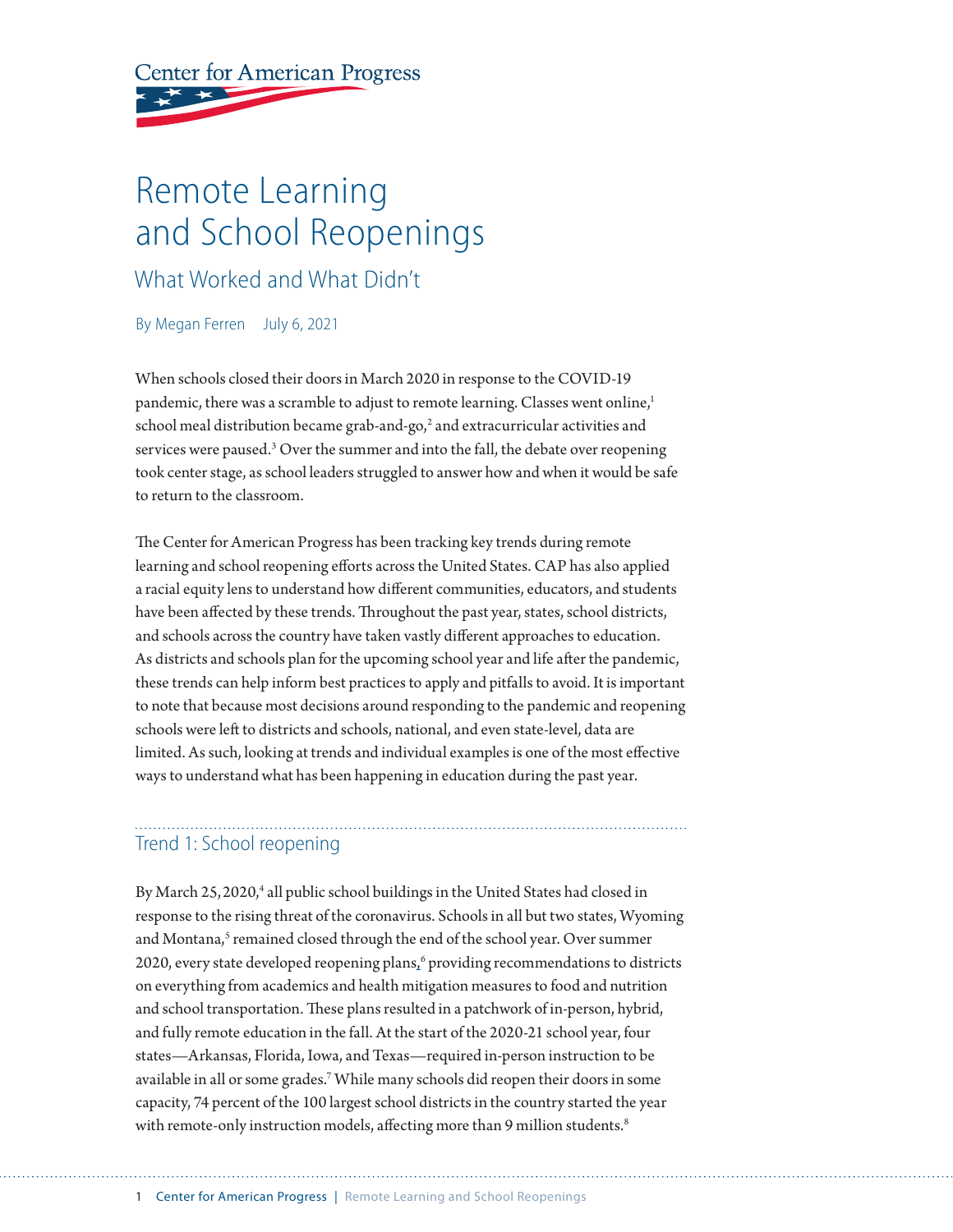**Center for American Progress** 

# Remote Learning and School Reopenings

## What Worked and What Didn't

By Megan Ferren July 6, 2021

When schools closed their doors in March 2020 in response to the COVID-19 pandemic, there was a scramble to adjust to remote learning. Classes went online,<sup>1</sup> school meal distribution became grab-and-go, $^2$  and extracurricular activities and services were paused.<sup>3</sup> Over the summer and into the fall, the debate over reopening took center stage, as school leaders struggled to answer how and when it would be safe to return to the classroom.

The Center for American Progress has been tracking key trends during remote learning and school reopening efforts across the United States. CAP has also applied a racial equity lens to understand how different communities, educators, and students have been affected by these trends. Throughout the past year, states, school districts, and schools across the country have taken vastly different approaches to education. As districts and schools plan for the upcoming school year and life after the pandemic, these trends can help inform best practices to apply and pitfalls to avoid. It is important to note that because most decisions around responding to the pandemic and reopening schools were left to districts and schools, national, and even state-level, data are limited. As such, looking at trends and individual examples is one of the most effective ways to understand what has been happening in education during the past year.

#### Trend 1: School reopening

By March 25, 2020,<sup>4</sup> all public school buildings in the United States had closed in response to the rising threat of the coronavirus. Schools in all but two states, Wyoming and Montana,<sup>5</sup> remained closed through the end of the school year. Over summer 2020, every state developed reopening plans,<sup>6</sup> providing recommendations to districts on everything from academics and health mitigation measures to food and nutrition and school transportation. These plans resulted in a patchwork of in-person, hybrid, and fully remote education in the fall. At the start of the 2020-21 school year, four states—Arkansas, Florida, Iowa, and Texas—required in-person instruction to be available in all or some grades.7 While many schools did reopen their doors in some capacity, 74 percent of the 100 largest school districts in the country started the year with remote-only instruction models, affecting more than 9 million students.<sup>8</sup>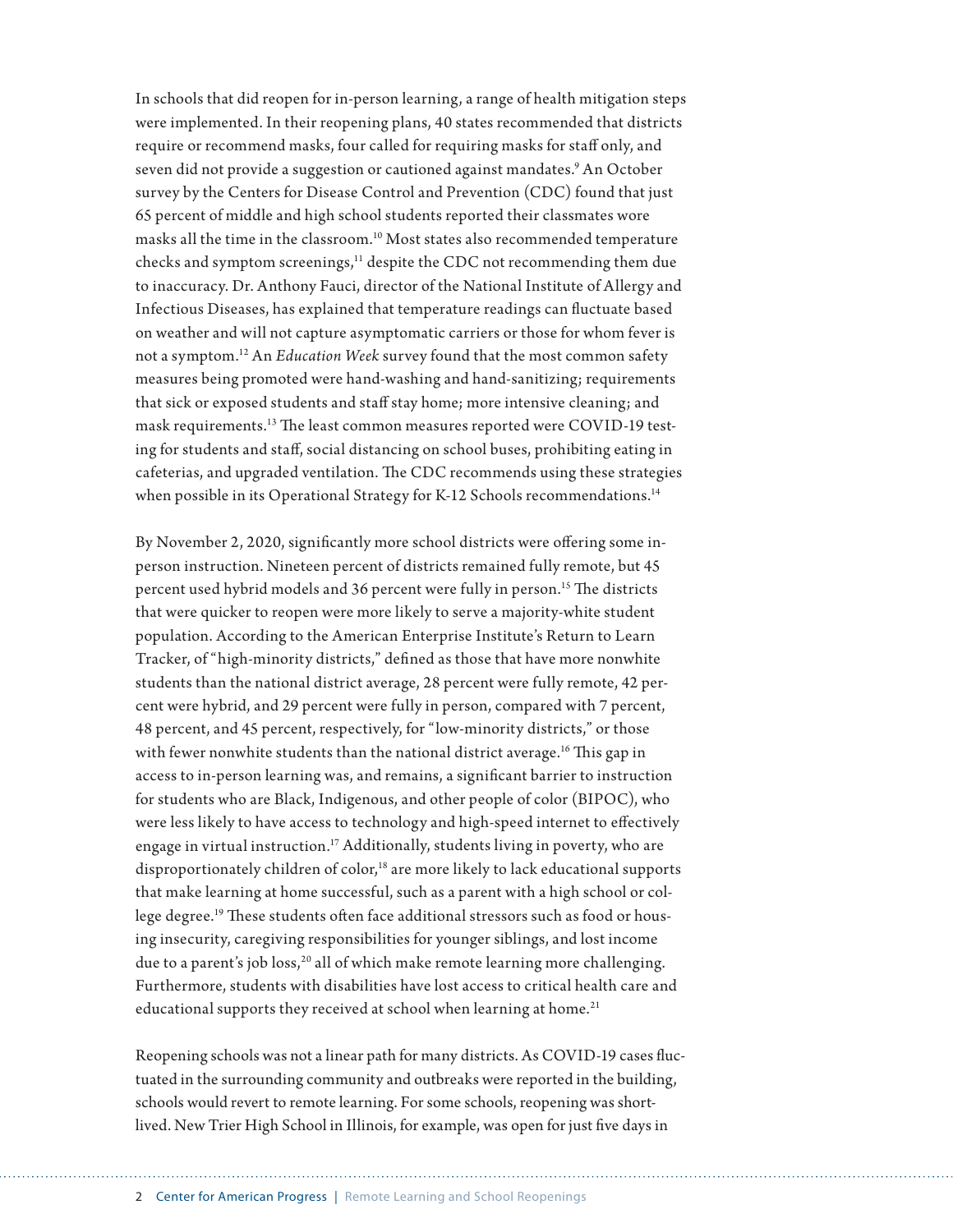In schools that did reopen for in-person learning, a range of health mitigation steps were implemented. In their reopening plans, 40 states recommended that districts require or recommend masks, four called for requiring masks for staff only, and seven did not provide a suggestion or cautioned against mandates.<sup>9</sup> An October survey by the Centers for Disease Control and Prevention (CDC) found that just 65 percent of middle and high school students reported their classmates wore masks all the time in the classroom.10 Most states also recommended temperature checks and symptom screenings,<sup>11</sup> despite the CDC not recommending them due to inaccuracy. Dr. Anthony Fauci, director of the National Institute of Allergy and Infectious Diseases, has explained that temperature readings can fluctuate based on weather and will not capture asymptomatic carriers or those for whom fever is not a symptom.12 An *Education Week* survey found that the most common safety measures being promoted were hand-washing and hand-sanitizing; requirements that sick or exposed students and staff stay home; more intensive cleaning; and mask requirements.13 The least common measures reported were COVID-19 testing for students and staff, social distancing on school buses, prohibiting eating in cafeterias, and upgraded ventilation. The CDC recommends using these strategies when possible in its Operational Strategy for K-12 Schools recommendations.<sup>14</sup>

By November 2, 2020, significantly more school districts were offering some inperson instruction. Nineteen percent of districts remained fully remote, but 45 percent used hybrid models and 36 percent were fully in person.<sup>15</sup> The districts that were quicker to reopen were more likely to serve a majority-white student population. According to the American Enterprise Institute's Return to Learn Tracker, of "high-minority districts," defined as those that have more nonwhite students than the national district average, 28 percent were fully remote, 42 percent were hybrid, and 29 percent were fully in person, compared with 7 percent, 48 percent, and 45 percent, respectively, for "low-minority districts," or those with fewer nonwhite students than the national district average.16 This gap in access to in-person learning was, and remains, a significant barrier to instruction for students who are Black, Indigenous, and other people of color (BIPOC), who were less likely to have access to technology and high-speed internet to effectively engage in virtual instruction.<sup>17</sup> Additionally, students living in poverty, who are disproportionately children of  $color<sub>i</sub><sup>18</sup>$  are more likely to lack educational supports that make learning at home successful, such as a parent with a high school or college degree.19 These students often face additional stressors such as food or housing insecurity, caregiving responsibilities for younger siblings, and lost income due to a parent's job loss,<sup>20</sup> all of which make remote learning more challenging. Furthermore, students with disabilities have lost access to critical health care and educational supports they received at school when learning at home.<sup>21</sup>

Reopening schools was not a linear path for many districts. As COVID-19 cases fluctuated in the surrounding community and outbreaks were reported in the building, schools would revert to remote learning. For some schools, reopening was shortlived. New Trier High School in Illinois, for example, was open for just five days in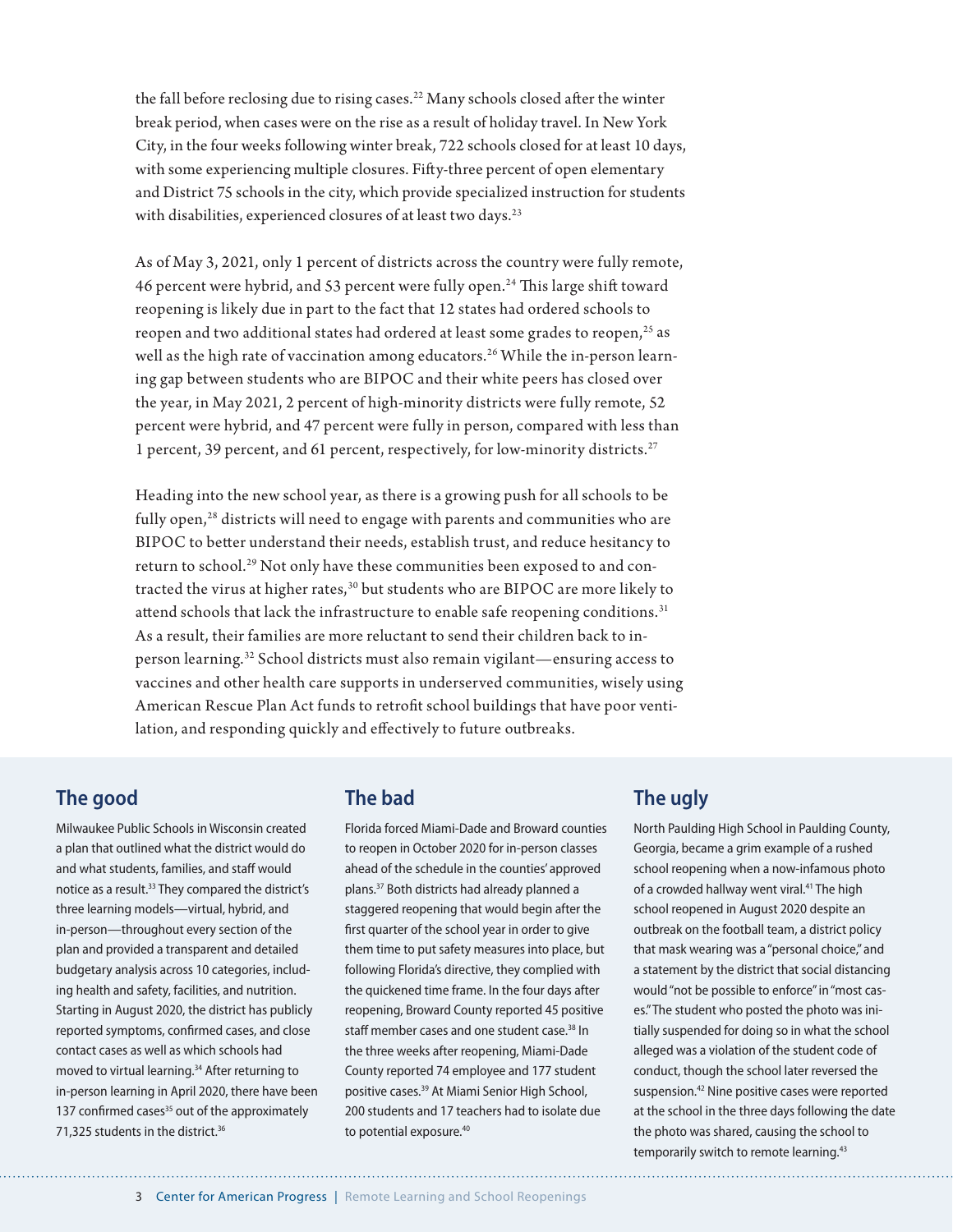the fall before reclosing due to rising cases.<sup>22</sup> Many schools closed after the winter break period, when cases were on the rise as a result of holiday travel. In New York City, in the four weeks following winter break, 722 schools closed for at least 10 days, with some experiencing multiple closures. Fifty-three percent of open elementary and District 75 schools in the city, which provide specialized instruction for students with disabilities, experienced closures of at least two days.<sup>23</sup>

As of May 3, 2021, only 1 percent of districts across the country were fully remote, 46 percent were hybrid, and 53 percent were fully open.<sup>24</sup> This large shift toward reopening is likely due in part to the fact that 12 states had ordered schools to reopen and two additional states had ordered at least some grades to reopen,<sup>25</sup> as well as the high rate of vaccination among educators.<sup>26</sup> While the in-person learning gap between students who are BIPOC and their white peers has closed over the year, in May 2021, 2 percent of high-minority districts were fully remote, 52 percent were hybrid, and 47 percent were fully in person, compared with less than 1 percent, 39 percent, and 61 percent, respectively, for low-minority districts.27

Heading into the new school year, as there is a growing push for all schools to be fully open,<sup>28</sup> districts will need to engage with parents and communities who are BIPOC to better understand their needs, establish trust, and reduce hesitancy to return to school.29 Not only have these communities been exposed to and contracted the virus at higher rates,<sup>30</sup> but students who are BIPOC are more likely to attend schools that lack the infrastructure to enable safe reopening conditions.<sup>31</sup> As a result, their families are more reluctant to send their children back to inperson learning.32 School districts must also remain vigilant—ensuring access to vaccines and other health care supports in underserved communities, wisely using American Rescue Plan Act funds to retrofit school buildings that have poor ventilation, and responding quickly and effectively to future outbreaks.

#### **The good**

Milwaukee Public Schools in Wisconsin created a plan that outlined what the district would do and what students, families, and staff would notice as a result.<sup>33</sup> They compared the district's three learning models—virtual, hybrid, and in-person—throughout every section of the plan and provided a transparent and detailed budgetary analysis across 10 categories, including health and safety, facilities, and nutrition. Starting in August 2020, the district has publicly reported symptoms, confirmed cases, and close contact cases as well as which schools had moved to virtual learning.<sup>34</sup> After returning to in-person learning in April 2020, there have been 137 confirmed cases<sup>35</sup> out of the approximately 71,325 students in the district.<sup>36</sup>

#### **The bad**

Florida forced Miami-Dade and Broward counties to reopen in October 2020 for in-person classes ahead of the schedule in the counties' approved plans.37 Both districts had already planned a staggered reopening that would begin after the first quarter of the school year in order to give them time to put safety measures into place, but following Florida's directive, they complied with the quickened time frame. In the four days after reopening, Broward County reported 45 positive staff member cases and one student case.<sup>38</sup> In the three weeks after reopening, Miami-Dade County reported 74 employee and 177 student positive cases.39 At Miami Senior High School, 200 students and 17 teachers had to isolate due to potential exposure.<sup>40</sup>

#### **The ugly**

North Paulding High School in Paulding County, Georgia, became a grim example of a rushed school reopening when a now-infamous photo of a crowded hallway went viral.<sup>41</sup> The high school reopened in August 2020 despite an outbreak on the football team, a district policy that mask wearing was a "personal choice," and a statement by the district that social distancing would "not be possible to enforce" in "most cases." The student who posted the photo was initially suspended for doing so in what the school alleged was a violation of the student code of conduct, though the school later reversed the suspension.42 Nine positive cases were reported at the school in the three days following the date the photo was shared, causing the school to temporarily switch to remote learning.<sup>43</sup>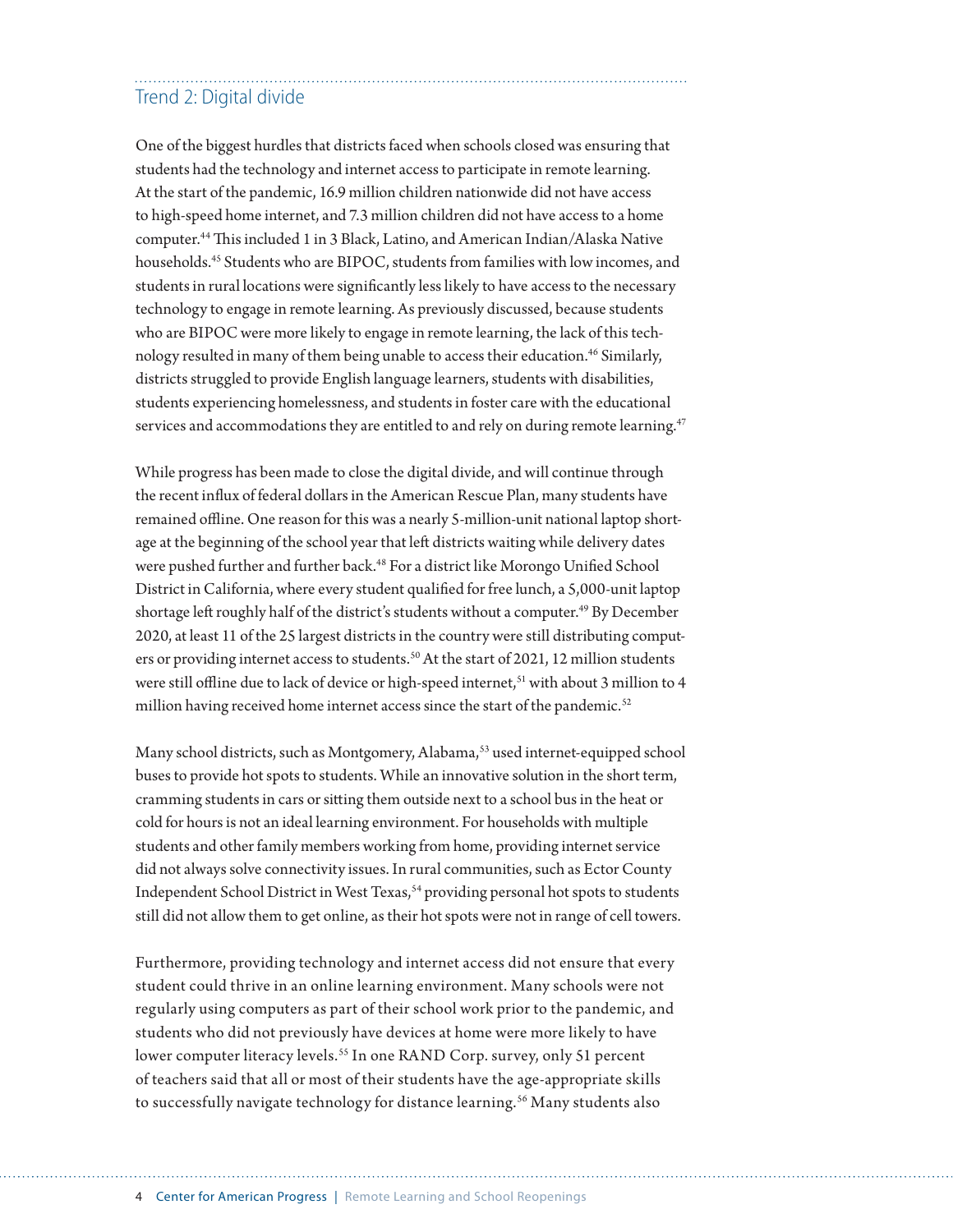## Trend 2: Digital divide

One of the biggest hurdles that districts faced when schools closed was ensuring that students had the technology and internet access to participate in remote learning. At the start of the pandemic, 16.9 million children nationwide did not have access to high-speed home internet, and 7.3 million children did not have access to a home computer.44 This included 1 in 3 Black, Latino, and American Indian/Alaska Native households.45 Students who are BIPOC, students from families with low incomes, and students in rural locations were significantly less likely to have access to the necessary technology to engage in remote learning. As previously discussed, because students who are BIPOC were more likely to engage in remote learning, the lack of this technology resulted in many of them being unable to access their education.<sup>46</sup> Similarly, districts struggled to provide English language learners, students with disabilities, students experiencing homelessness, and students in foster care with the educational services and accommodations they are entitled to and rely on during remote learning.<sup>47</sup>

While progress has been made to close the digital divide, and will continue through the recent influx of federal dollars in the American Rescue Plan, many students have remained offline. One reason for this was a nearly 5-million-unit national laptop shortage at the beginning of the school year that left districts waiting while delivery dates were pushed further and further back.<sup>48</sup> For a district like Morongo Unified School District in California, where every student qualified for free lunch, a 5,000-unit laptop shortage left roughly half of the district's students without a computer.<sup>49</sup> By December 2020, at least 11 of the 25 largest districts in the country were still distributing computers or providing internet access to students.<sup>50</sup> At the start of 2021, 12 million students were still offline due to lack of device or high-speed internet,<sup>51</sup> with about 3 million to 4 million having received home internet access since the start of the pandemic.<sup>52</sup>

Many school districts, such as Montgomery, Alabama,<sup>53</sup> used internet-equipped school buses to provide hot spots to students. While an innovative solution in the short term, cramming students in cars or sitting them outside next to a school bus in the heat or cold for hours is not an ideal learning environment. For households with multiple students and other family members working from home, providing internet service did not always solve connectivity issues. In rural communities, such as Ector County Independent School District in West Texas,<sup>54</sup> providing personal hot spots to students still did not allow them to get online, as their hot spots were not in range of cell towers.

Furthermore, providing technology and internet access did not ensure that every student could thrive in an online learning environment. Many schools were not regularly using computers as part of their school work prior to the pandemic, and students who did not previously have devices at home were more likely to have lower computer literacy levels.<sup>55</sup> In one RAND Corp. survey, only 51 percent of teachers said that all or most of their students have the age-appropriate skills to successfully navigate technology for distance learning.<sup>56</sup> Many students also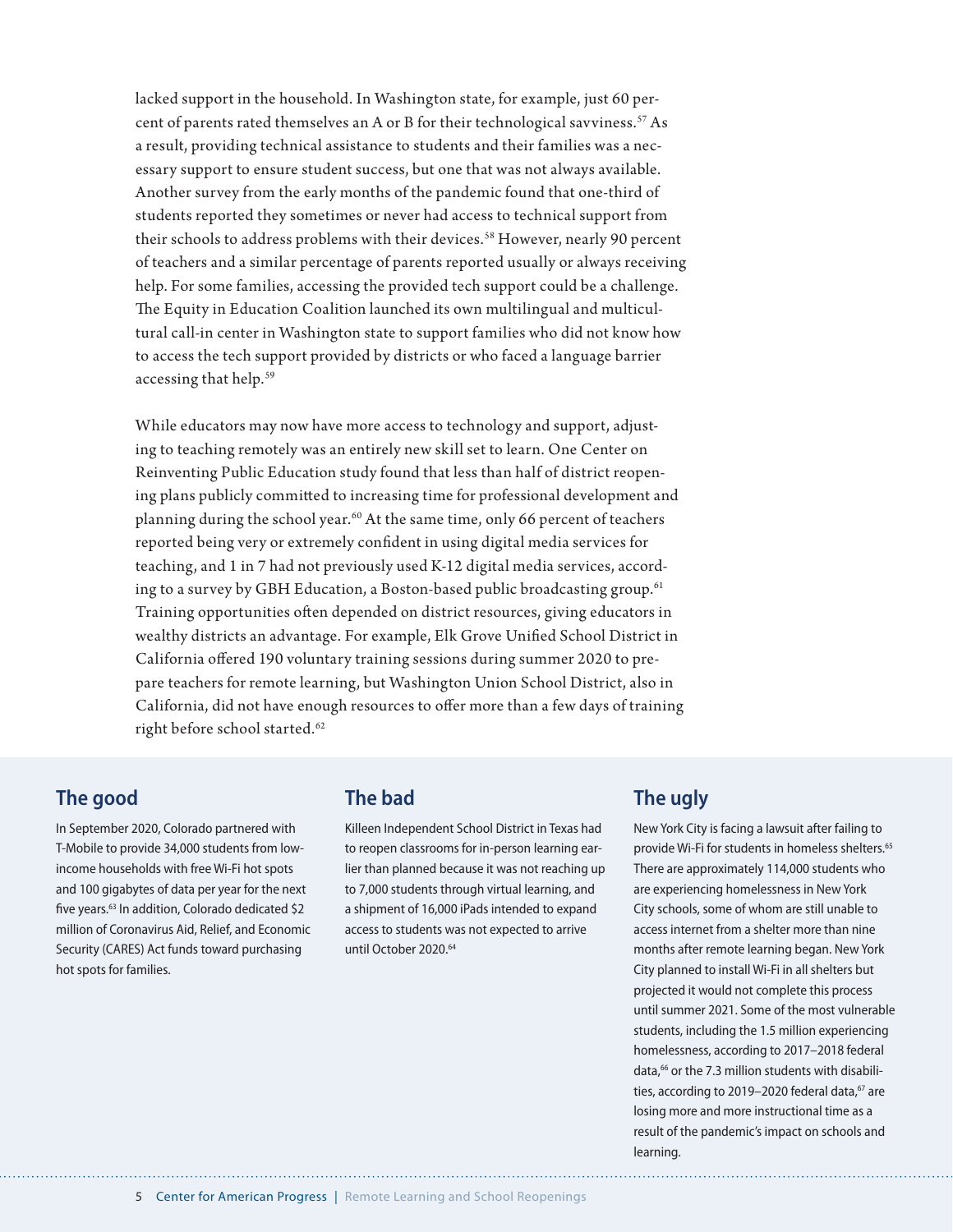lacked support in the household. In Washington state, for example, just 60 percent of parents rated themselves an A or B for their technological savviness.<sup>57</sup> As a result, providing technical assistance to students and their families was a necessary support to ensure student success, but one that was not always available. Another survey from the early months of the pandemic found that one-third of students reported they sometimes or never had access to technical support from their schools to address problems with their devices.<sup>58</sup> However, nearly 90 percent of teachers and a similar percentage of parents reported usually or always receiving help. For some families, accessing the provided tech support could be a challenge. The Equity in Education Coalition launched its own multilingual and multicultural call-in center in Washington state to support families who did not know how to access the tech support provided by districts or who faced a language barrier accessing that help.<sup>59</sup>

While educators may now have more access to technology and support, adjusting to teaching remotely was an entirely new skill set to learn. One Center on Reinventing Public Education study found that less than half of district reopening plans publicly committed to increasing time for professional development and planning during the school year.<sup>60</sup> At the same time, only 66 percent of teachers reported being very or extremely confident in using digital media services for teaching, and 1 in 7 had not previously used K-12 digital media services, according to a survey by GBH Education, a Boston-based public broadcasting group.<sup>61</sup> Training opportunities often depended on district resources, giving educators in wealthy districts an advantage. For example, Elk Grove Unified School District in California offered 190 voluntary training sessions during summer 2020 to prepare teachers for remote learning, but Washington Union School District, also in California, did not have enough resources to offer more than a few days of training right before school started.<sup>62</sup>

#### **The good**

In September 2020, Colorado partnered with T-Mobile to provide 34,000 students from lowincome households with free Wi-Fi hot spots and 100 gigabytes of data per year for the next five years.<sup>63</sup> In addition, Colorado dedicated \$2 million of Coronavirus Aid, Relief, and Economic Security (CARES) Act funds toward purchasing hot spots for families.

#### **The bad**

Killeen Independent School District in Texas had to reopen classrooms for in-person learning earlier than planned because it was not reaching up to 7,000 students through virtual learning, and a shipment of 16,000 iPads intended to expand access to students was not expected to arrive until October 2020.<sup>64</sup>

#### **The ugly**

New York City is facing a lawsuit after failing to provide Wi-Fi for students in homeless shelters.<sup>65</sup> There are approximately 114,000 students who are experiencing homelessness in New York City schools, some of whom are still unable to access internet from a shelter more than nine months after remote learning began. New York City planned to install Wi-Fi in all shelters but projected it would not complete this process until summer 2021. Some of the most vulnerable students, including the 1.5 million experiencing homelessness, according to 2017–2018 federal data,<sup>66</sup> or the 7.3 million students with disabilities, according to 2019-2020 federal data,<sup>67</sup> are losing more and more instructional time as a result of the pandemic's impact on schools and learning.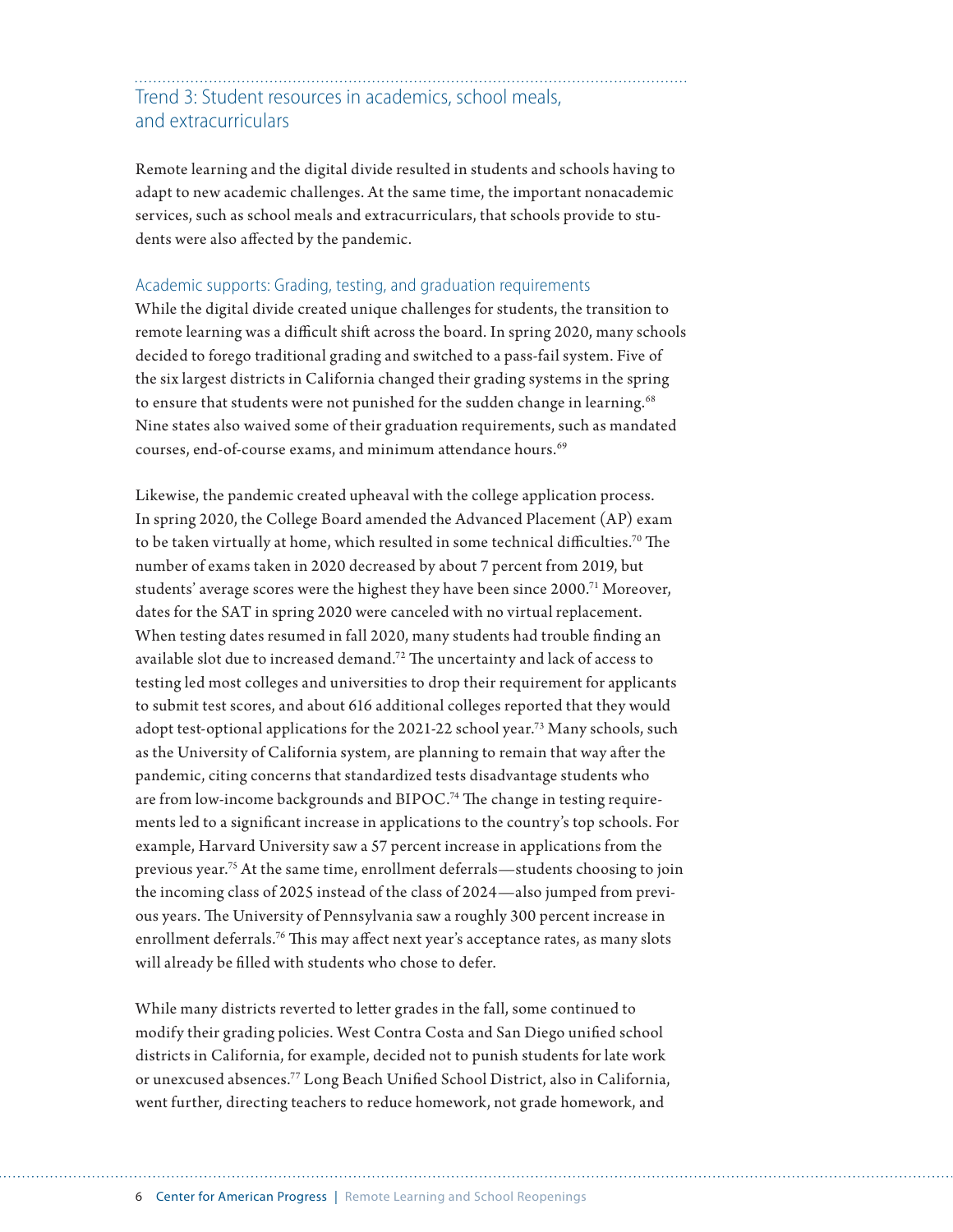### Trend 3: Student resources in academics, school meals, and extracurriculars

Remote learning and the digital divide resulted in students and schools having to adapt to new academic challenges. At the same time, the important nonacademic services, such as school meals and extracurriculars, that schools provide to students were also affected by the pandemic.

#### Academic supports: Grading, testing, and graduation requirements

While the digital divide created unique challenges for students, the transition to remote learning was a difficult shift across the board. In spring 2020, many schools decided to forego traditional grading and switched to a pass-fail system. Five of the six largest districts in California changed their grading systems in the spring to ensure that students were not punished for the sudden change in learning.<sup>68</sup> Nine states also waived some of their graduation requirements, such as mandated courses, end-of-course exams, and minimum attendance hours.<sup>69</sup>

Likewise, the pandemic created upheaval with the college application process. In spring 2020, the College Board amended the Advanced Placement (AP) exam to be taken virtually at home, which resulted in some technical difficulties.70 The number of exams taken in 2020 decreased by about 7 percent from 2019, but students' average scores were the highest they have been since 2000.71 Moreover, dates for the SAT in spring 2020 were canceled with no virtual replacement. When testing dates resumed in fall 2020, many students had trouble finding an available slot due to increased demand.72 The uncertainty and lack of access to testing led most colleges and universities to drop their requirement for applicants to submit test scores, and about 616 additional colleges reported that they would adopt test-optional applications for the 2021-22 school year.73 Many schools, such as the University of California system, are planning to remain that way after the pandemic, citing concerns that standardized tests disadvantage students who are from low-income backgrounds and BIPOC.<sup>74</sup> The change in testing requirements led to a significant increase in applications to the country's top schools. For example, Harvard University saw a 57 percent increase in applications from the previous year.75 At the same time, enrollment deferrals—students choosing to join the incoming class of 2025 instead of the class of 2024—also jumped from previous years. The University of Pennsylvania saw a roughly 300 percent increase in enrollment deferrals.<sup>76</sup> This may affect next year's acceptance rates, as many slots will already be filled with students who chose to defer.

While many districts reverted to letter grades in the fall, some continued to modify their grading policies. West Contra Costa and San Diego unified school districts in California, for example, decided not to punish students for late work or unexcused absences.77 Long Beach Unified School District, also in California, went further, directing teachers to reduce homework, not grade homework, and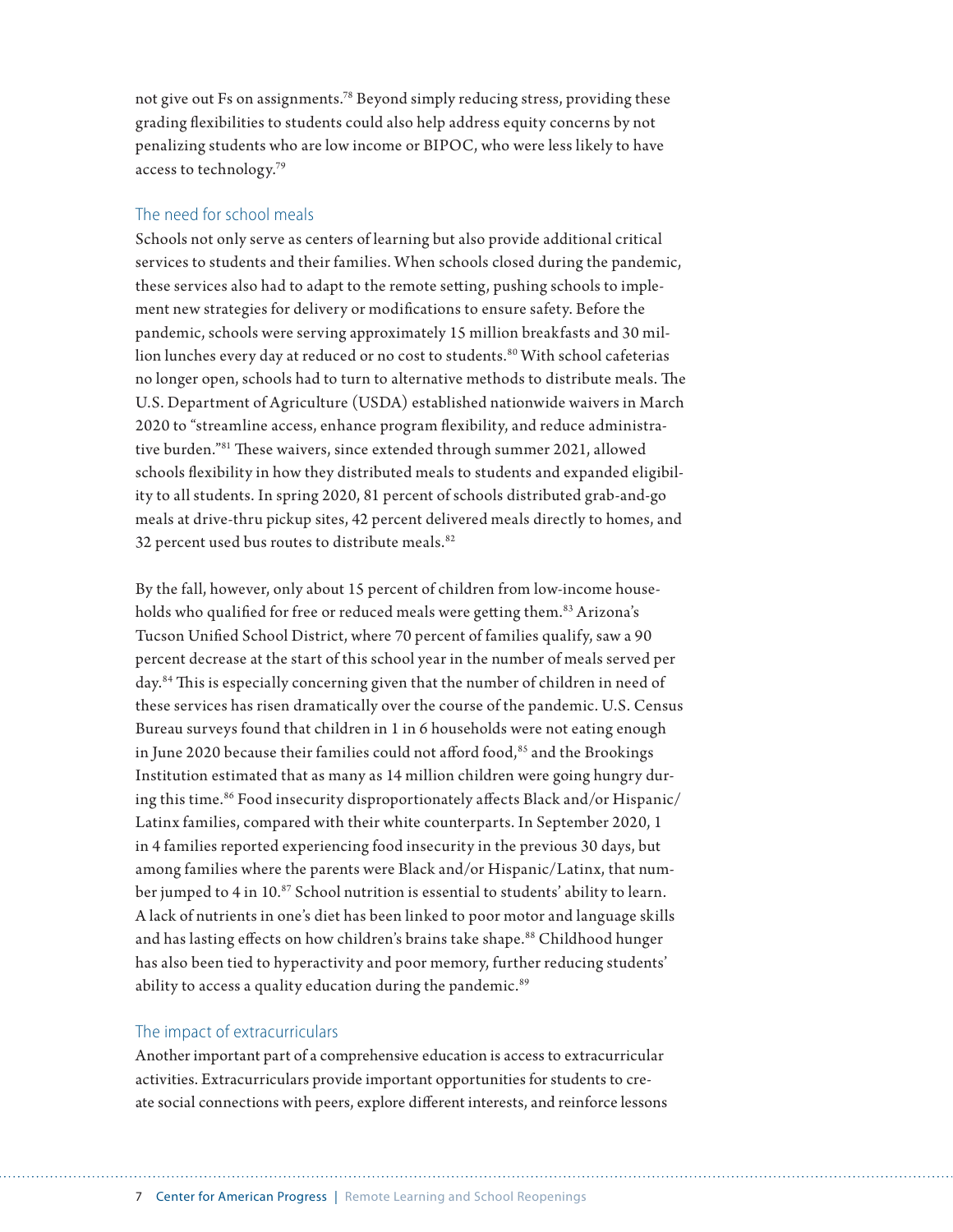not give out Fs on assignments.78 Beyond simply reducing stress, providing these grading flexibilities to students could also help address equity concerns by not penalizing students who are low income or BIPOC, who were less likely to have access to technology.79

#### The need for school meals

Schools not only serve as centers of learning but also provide additional critical services to students and their families. When schools closed during the pandemic, these services also had to adapt to the remote setting, pushing schools to implement new strategies for delivery or modifications to ensure safety. Before the pandemic, schools were serving approximately 15 million breakfasts and 30 million lunches every day at reduced or no cost to students.<sup>80</sup> With school cafeterias no longer open, schools had to turn to alternative methods to distribute meals. The U.S. Department of Agriculture (USDA) established nationwide waivers in March 2020 to "streamline access, enhance program flexibility, and reduce administrative burden."81 These waivers, since extended through summer 2021, allowed schools flexibility in how they distributed meals to students and expanded eligibility to all students. In spring 2020, 81 percent of schools distributed grab-and-go meals at drive-thru pickup sites, 42 percent delivered meals directly to homes, and 32 percent used bus routes to distribute meals.<sup>82</sup>

By the fall, however, only about 15 percent of children from low-income households who qualified for free or reduced meals were getting them.<sup>83</sup> Arizona's Tucson Unified School District, where 70 percent of families qualify, saw a 90 percent decrease at the start of this school year in the number of meals served per day.<sup>84</sup> This is especially concerning given that the number of children in need of these services has risen dramatically over the course of the pandemic. U.S. Census Bureau surveys found that children in 1 in 6 households were not eating enough in June 2020 because their families could not afford food,<sup>85</sup> and the Brookings Institution estimated that as many as 14 million children were going hungry during this time.<sup>86</sup> Food insecurity disproportionately affects Black and/or Hispanic/ Latinx families, compared with their white counterparts. In September 2020, 1 in 4 families reported experiencing food insecurity in the previous 30 days, but among families where the parents were Black and/or Hispanic/Latinx, that number jumped to 4 in 10.87 School nutrition is essential to students' ability to learn. A lack of nutrients in one's diet has been linked to poor motor and language skills and has lasting effects on how children's brains take shape.<sup>88</sup> Childhood hunger has also been tied to hyperactivity and poor memory, further reducing students' ability to access a quality education during the pandemic.<sup>89</sup>

#### The impact of extracurriculars

Another important part of a comprehensive education is access to extracurricular activities. Extracurriculars provide important opportunities for students to create social connections with peers, explore different interests, and reinforce lessons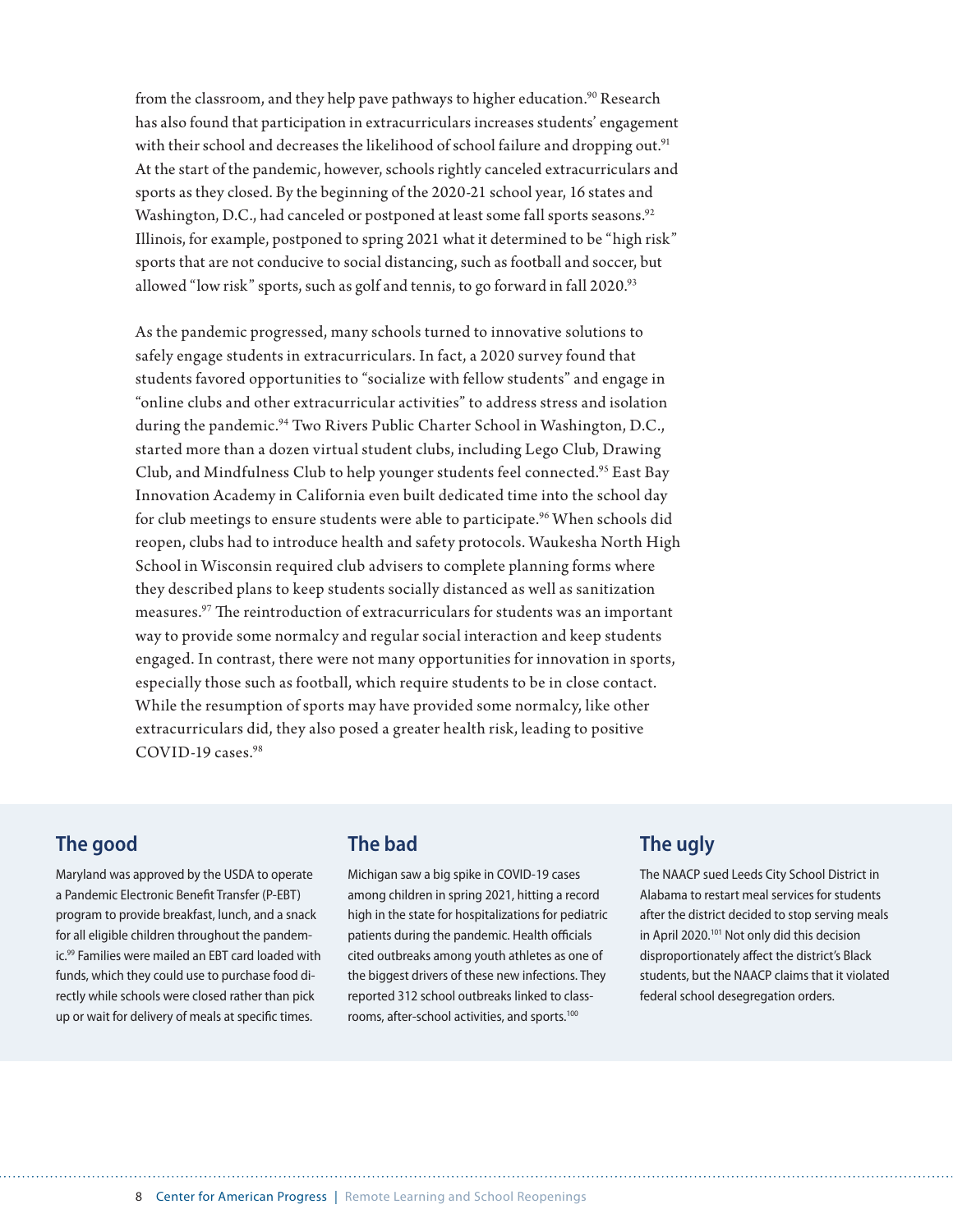from the classroom, and they help pave pathways to higher education.<sup>90</sup> Research has also found that participation in extracurriculars increases students' engagement with their school and decreases the likelihood of school failure and dropping out.<sup>91</sup> At the start of the pandemic, however, schools rightly canceled extracurriculars and sports as they closed. By the beginning of the 2020-21 school year, 16 states and Washington, D.C., had canceled or postponed at least some fall sports seasons.<sup>92</sup> Illinois, for example, postponed to spring 2021 what it determined to be "high risk" sports that are not conducive to social distancing, such as football and soccer, but allowed "low risk" sports, such as golf and tennis, to go forward in fall 2020.<sup>93</sup>

As the pandemic progressed, many schools turned to innovative solutions to safely engage students in extracurriculars. In fact, a 2020 survey found that students favored opportunities to "socialize with fellow students" and engage in "online clubs and other extracurricular activities" to address stress and isolation during the pandemic.<sup>94</sup> Two Rivers Public Charter School in Washington, D.C., started more than a dozen virtual student clubs, including Lego Club, Drawing Club, and Mindfulness Club to help younger students feel connected.95 East Bay Innovation Academy in California even built dedicated time into the school day for club meetings to ensure students were able to participate.<sup>96</sup> When schools did reopen, clubs had to introduce health and safety protocols. Waukesha North High School in Wisconsin required club advisers to complete planning forms where they described plans to keep students socially distanced as well as sanitization measures.97 The reintroduction of extracurriculars for students was an important way to provide some normalcy and regular social interaction and keep students engaged. In contrast, there were not many opportunities for innovation in sports, especially those such as football, which require students to be in close contact. While the resumption of sports may have provided some normalcy, like other extracurriculars did, they also posed a greater health risk, leading to positive  $COVID-19 \text{ cases}$ <sup>98</sup>

#### **The good**

Maryland was approved by the USDA to operate a Pandemic Electronic Benefit Transfer (P-EBT) program to provide breakfast, lunch, and a snack for all eligible children throughout the pandemic.99 Families were mailed an EBT card loaded with funds, which they could use to purchase food directly while schools were closed rather than pick up or wait for delivery of meals at specific times.

#### **The bad**

Michigan saw a big spike in COVID-19 cases among children in spring 2021, hitting a record high in the state for hospitalizations for pediatric patients during the pandemic. Health officials cited outbreaks among youth athletes as one of the biggest drivers of these new infections. They reported 312 school outbreaks linked to classrooms, after-school activities, and sports.100

#### **The ugly**

The NAACP sued Leeds City School District in Alabama to restart meal services for students after the district decided to stop serving meals in April 2020.<sup>101</sup> Not only did this decision disproportionately affect the district's Black students, but the NAACP claims that it violated federal school desegregation orders.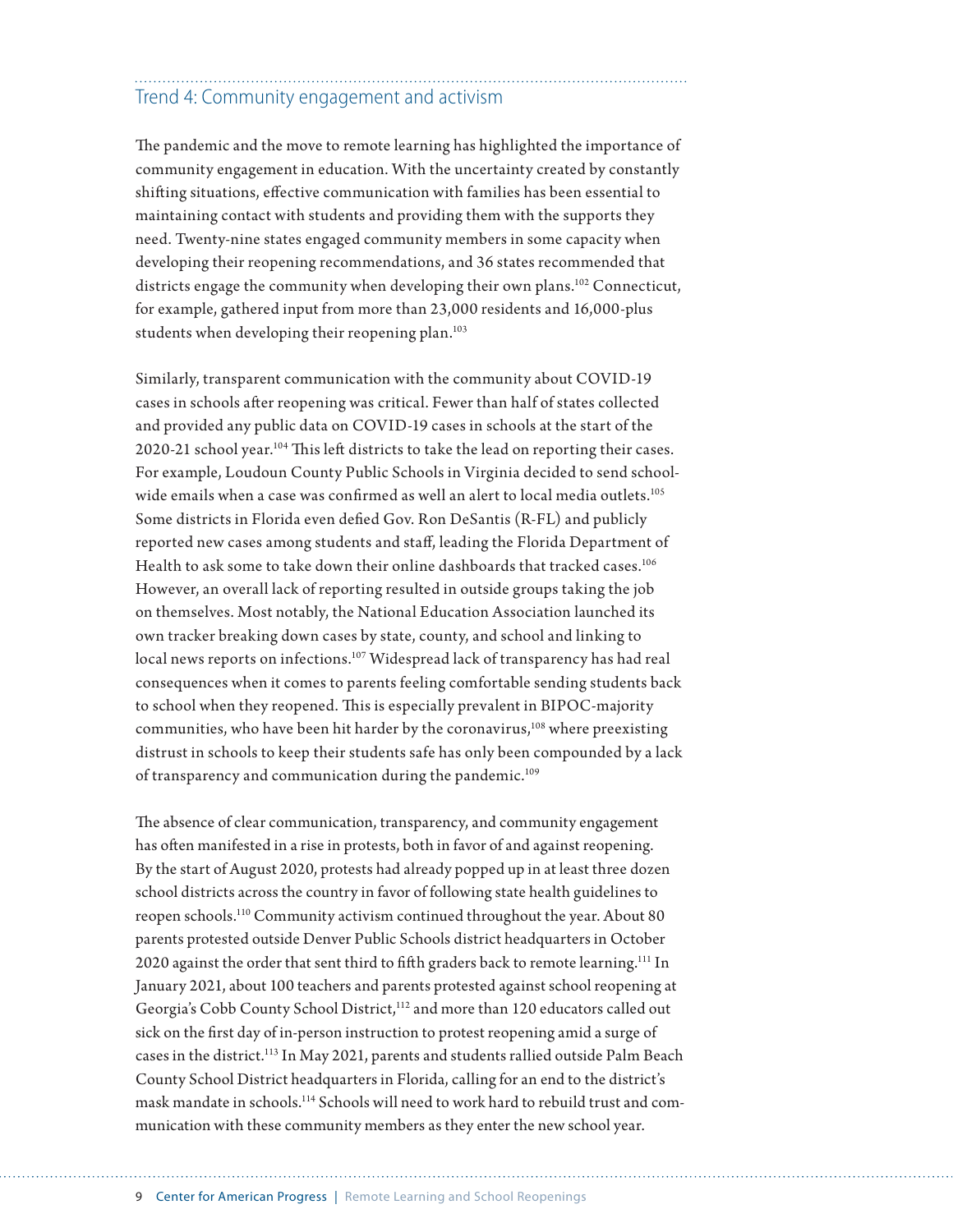## Trend 4: Community engagement and activism

The pandemic and the move to remote learning has highlighted the importance of community engagement in education. With the uncertainty created by constantly shifting situations, effective communication with families has been essential to maintaining contact with students and providing them with the supports they need. Twenty-nine states engaged community members in some capacity when developing their reopening recommendations, and 36 states recommended that districts engage the community when developing their own plans.<sup>102</sup> Connecticut, for example, gathered input from more than 23,000 residents and 16,000-plus students when developing their reopening plan.<sup>103</sup>

Similarly, transparent communication with the community about COVID-19 cases in schools after reopening was critical. Fewer than half of states collected and provided any public data on COVID-19 cases in schools at the start of the 2020-21 school year.<sup>104</sup> This left districts to take the lead on reporting their cases. For example, Loudoun County Public Schools in Virginia decided to send schoolwide emails when a case was confirmed as well an alert to local media outlets.<sup>105</sup> Some districts in Florida even defied Gov. Ron DeSantis (R-FL) and publicly reported new cases among students and staff, leading the Florida Department of Health to ask some to take down their online dashboards that tracked cases.<sup>106</sup> However, an overall lack of reporting resulted in outside groups taking the job on themselves. Most notably, the National Education Association launched its own tracker breaking down cases by state, county, and school and linking to local news reports on infections.<sup>107</sup> Widespread lack of transparency has had real consequences when it comes to parents feeling comfortable sending students back to school when they reopened. This is especially prevalent in BIPOC-majority communities, who have been hit harder by the coronavirus,<sup>108</sup> where preexisting distrust in schools to keep their students safe has only been compounded by a lack of transparency and communication during the pandemic.<sup>109</sup>

The absence of clear communication, transparency, and community engagement has often manifested in a rise in protests, both in favor of and against reopening. By the start of August 2020, protests had already popped up in at least three dozen school districts across the country in favor of following state health guidelines to reopen schools.110 Community activism continued throughout the year. About 80 parents protested outside Denver Public Schools district headquarters in October 2020 against the order that sent third to fifth graders back to remote learning.<sup>111</sup> In January 2021, about 100 teachers and parents protested against school reopening at Georgia's Cobb County School District,<sup>112</sup> and more than 120 educators called out sick on the first day of in-person instruction to protest reopening amid a surge of cases in the district.113 In May 2021, parents and students rallied outside Palm Beach County School District headquarters in Florida, calling for an end to the district's mask mandate in schools.114 Schools will need to work hard to rebuild trust and communication with these community members as they enter the new school year.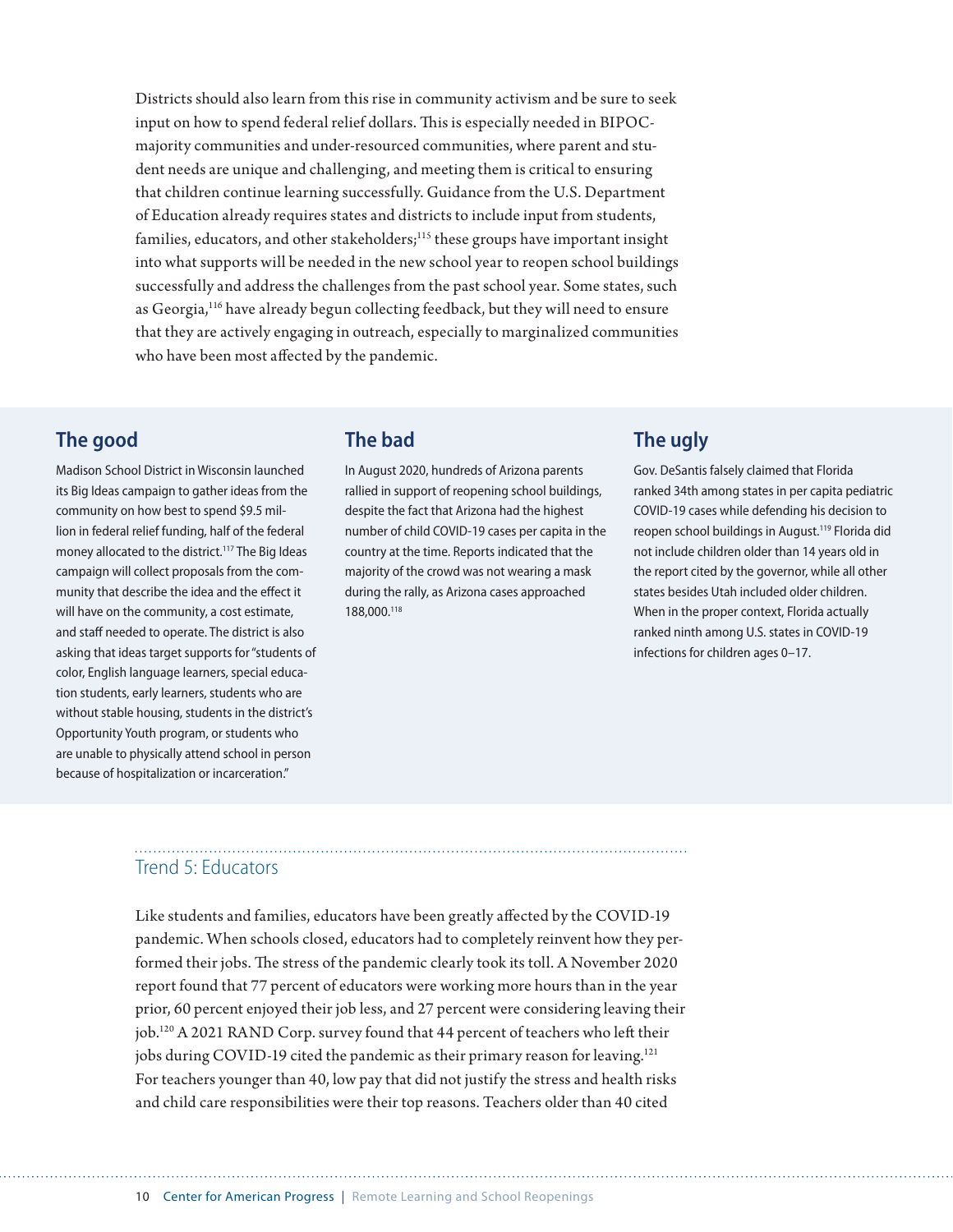Districts should also learn from this rise in community activism and be sure to seek input on how to spend federal relief dollars. This is especially needed in BIPOCmajority communities and under-resourced communities, where parent and student needs are unique and challenging, and meeting them is critical to ensuring that children continue learning successfully. Guidance from the U.S. Department of Education already requires states and districts to include input from students, families, educators, and other stakeholders;<sup>115</sup> these groups have important insight into what supports will be needed in the new school year to reopen school buildings successfully and address the challenges from the past school year. Some states, such as Georgia,116 have already begun collecting feedback, but they will need to ensure that they are actively engaging in outreach, especially to marginalized communities who have been most affected by the pandemic.

#### **The good**

Madison School District in Wisconsin launched its Big Ideas campaign to gather ideas from the community on how best to spend \$9.5 million in federal relief funding, half of the federal money allocated to the district.<sup>117</sup> The Big Ideas campaign will collect proposals from the community that describe the idea and the effect it will have on the community, a cost estimate, and staff needed to operate. The district is also asking that ideas target supports for "students of color, English language learners, special education students, early learners, students who are without stable housing, students in the district's Opportunity Youth program, or students who are unable to physically attend school in person because of hospitalization or incarceration."

#### **The bad**

In August 2020, hundreds of Arizona parents rallied in support of reopening school buildings, despite the fact that Arizona had the highest number of child COVID-19 cases per capita in the country at the time. Reports indicated that the majority of the crowd was not wearing a mask during the rally, as Arizona cases approached 188,000.118

#### **The ugly**

Gov. DeSantis falsely claimed that Florida ranked 34th among states in per capita pediatric COVID-19 cases while defending his decision to reopen school buildings in August.119 Florida did not include children older than 14 years old in the report cited by the governor, while all other states besides Utah included older children. When in the proper context, Florida actually ranked ninth among U.S. states in COVID-19 infections for children ages 0–17.

## Trend 5: Educators

Like students and families, educators have been greatly affected by the COVID-19 pandemic. When schools closed, educators had to completely reinvent how they performed their jobs. The stress of the pandemic clearly took its toll. A November 2020 report found that 77 percent of educators were working more hours than in the year prior, 60 percent enjoyed their job less, and 27 percent were considering leaving their job.120 A 2021 RAND Corp. survey found that 44 percent of teachers who left their jobs during COVID-19 cited the pandemic as their primary reason for leaving.<sup>121</sup> For teachers younger than 40, low pay that did not justify the stress and health risks and child care responsibilities were their top reasons. Teachers older than 40 cited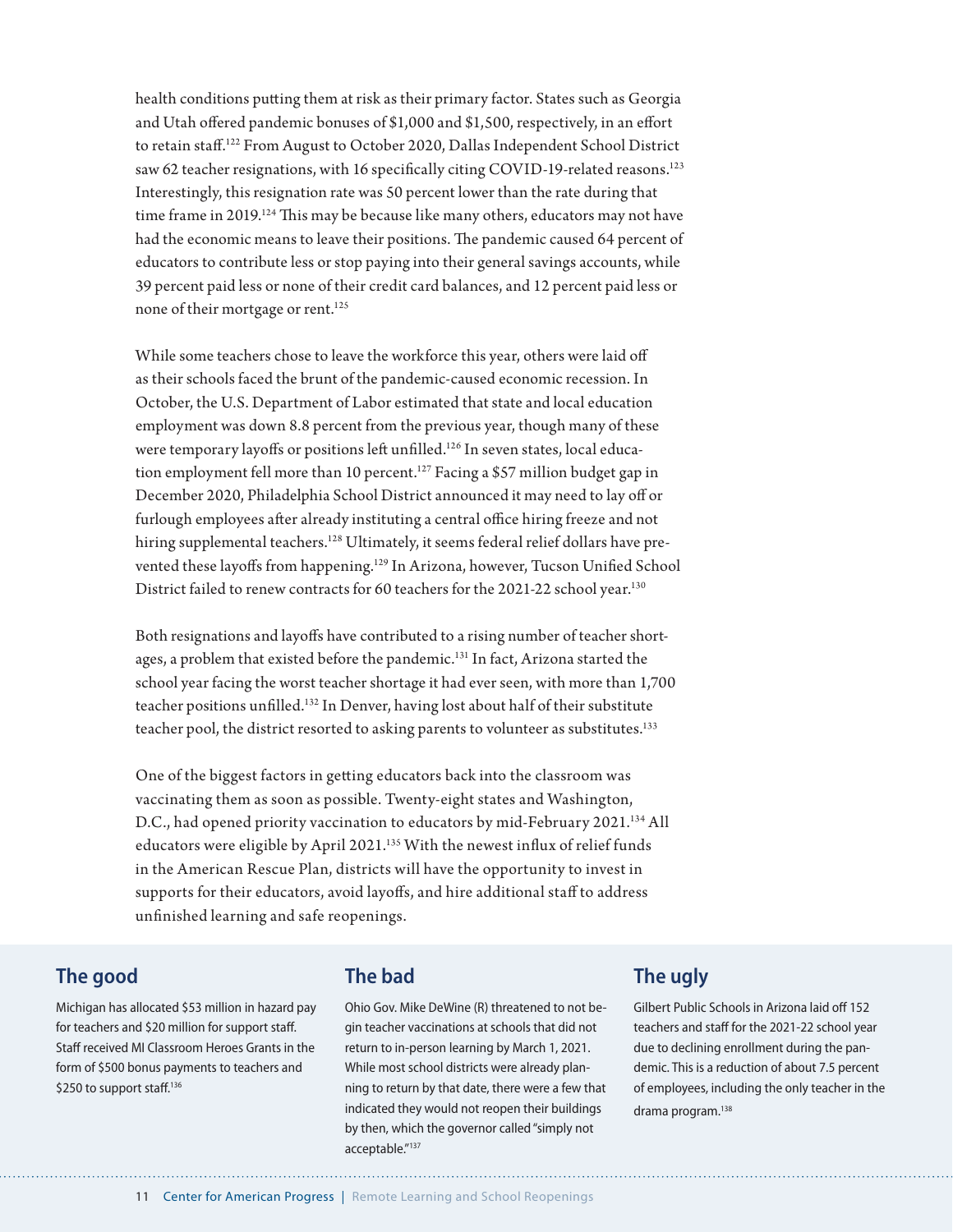health conditions putting them at risk as their primary factor. States such as Georgia and Utah offered pandemic bonuses of \$1,000 and \$1,500, respectively, in an effort to retain staff.122 From August to October 2020, Dallas Independent School District saw 62 teacher resignations, with 16 specifically citing COVID-19-related reasons.<sup>123</sup> Interestingly, this resignation rate was 50 percent lower than the rate during that time frame in  $2019$ .<sup>124</sup> This may be because like many others, educators may not have had the economic means to leave their positions. The pandemic caused 64 percent of educators to contribute less or stop paying into their general savings accounts, while 39 percent paid less or none of their credit card balances, and 12 percent paid less or none of their mortgage or rent.<sup>125</sup>

While some teachers chose to leave the workforce this year, others were laid off as their schools faced the brunt of the pandemic-caused economic recession. In October, the U.S. Department of Labor estimated that state and local education employment was down 8.8 percent from the previous year, though many of these were temporary layoffs or positions left unfilled.<sup>126</sup> In seven states, local education employment fell more than 10 percent.<sup>127</sup> Facing a \$57 million budget gap in December 2020, Philadelphia School District announced it may need to lay off or furlough employees after already instituting a central office hiring freeze and not hiring supplemental teachers.<sup>128</sup> Ultimately, it seems federal relief dollars have prevented these layoffs from happening.129 In Arizona, however, Tucson Unified School District failed to renew contracts for 60 teachers for the 2021-22 school year.<sup>130</sup>

Both resignations and layoffs have contributed to a rising number of teacher shortages, a problem that existed before the pandemic.<sup>131</sup> In fact, Arizona started the school year facing the worst teacher shortage it had ever seen, with more than 1,700 teacher positions unfilled.132 In Denver, having lost about half of their substitute teacher pool, the district resorted to asking parents to volunteer as substitutes.<sup>133</sup>

One of the biggest factors in getting educators back into the classroom was vaccinating them as soon as possible. Twenty-eight states and Washington, D.C., had opened priority vaccination to educators by mid-February 2021.<sup>134</sup> All educators were eligible by April 2021.<sup>135</sup> With the newest influx of relief funds in the American Rescue Plan, districts will have the opportunity to invest in supports for their educators, avoid layoffs, and hire additional staff to address unfinished learning and safe reopenings.

#### **The good**

Michigan has allocated \$53 million in hazard pay for teachers and \$20 million for support staff. Staff received MI Classroom Heroes Grants in the form of \$500 bonus payments to teachers and \$250 to support staff.<sup>136</sup>

#### **The bad**

Ohio Gov. Mike DeWine (R) threatened to not begin teacher vaccinations at schools that did not return to in-person learning by March 1, 2021. While most school districts were already planning to return by that date, there were a few that indicated they would not reopen their buildings by then, which the governor called "simply not acceptable."137

#### **The ugly**

Gilbert Public Schools in Arizona laid off 152 teachers and staff for the 2021-22 school year due to declining enrollment during the pandemic. This is a reduction of about 7.5 percent of employees, including the only teacher in the drama program.<sup>138</sup>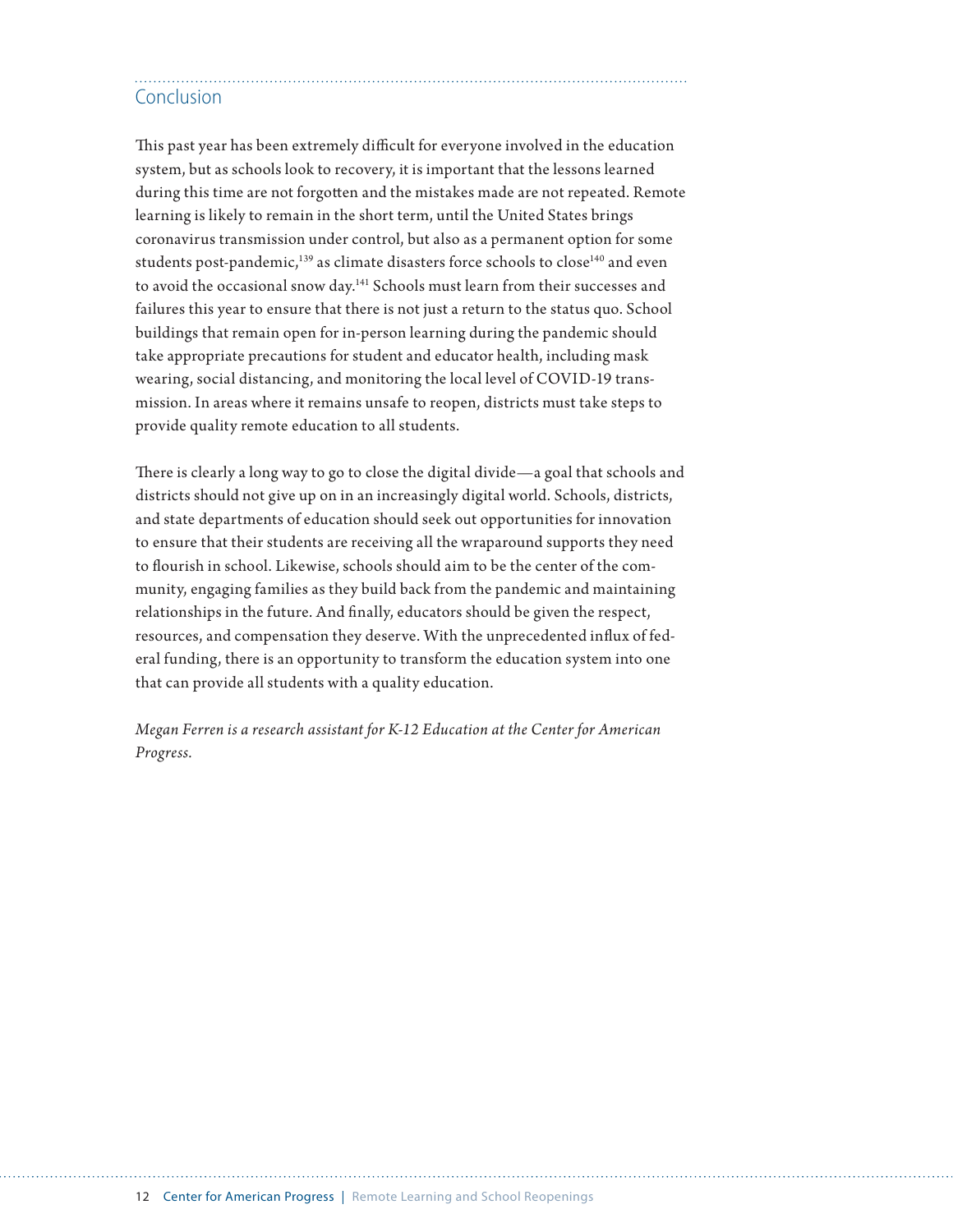## Conclusion

This past year has been extremely difficult for everyone involved in the education system, but as schools look to recovery, it is important that the lessons learned during this time are not forgotten and the mistakes made are not repeated. Remote learning is likely to remain in the short term, until the United States brings coronavirus transmission under control, but also as a permanent option for some students post-pandemic,<sup>139</sup> as climate disasters force schools to close<sup>140</sup> and even to avoid the occasional snow day.141 Schools must learn from their successes and failures this year to ensure that there is not just a return to the status quo. School buildings that remain open for in-person learning during the pandemic should take appropriate precautions for student and educator health, including mask wearing, social distancing, and monitoring the local level of COVID-19 transmission. In areas where it remains unsafe to reopen, districts must take steps to provide quality remote education to all students.

There is clearly a long way to go to close the digital divide—a goal that schools and districts should not give up on in an increasingly digital world. Schools, districts, and state departments of education should seek out opportunities for innovation to ensure that their students are receiving all the wraparound supports they need to flourish in school. Likewise, schools should aim to be the center of the community, engaging families as they build back from the pandemic and maintaining relationships in the future. And finally, educators should be given the respect, resources, and compensation they deserve. With the unprecedented influx of federal funding, there is an opportunity to transform the education system into one that can provide all students with a quality education.

*Megan Ferren is a research assistant for K-12 Education at the Center for American Progress.*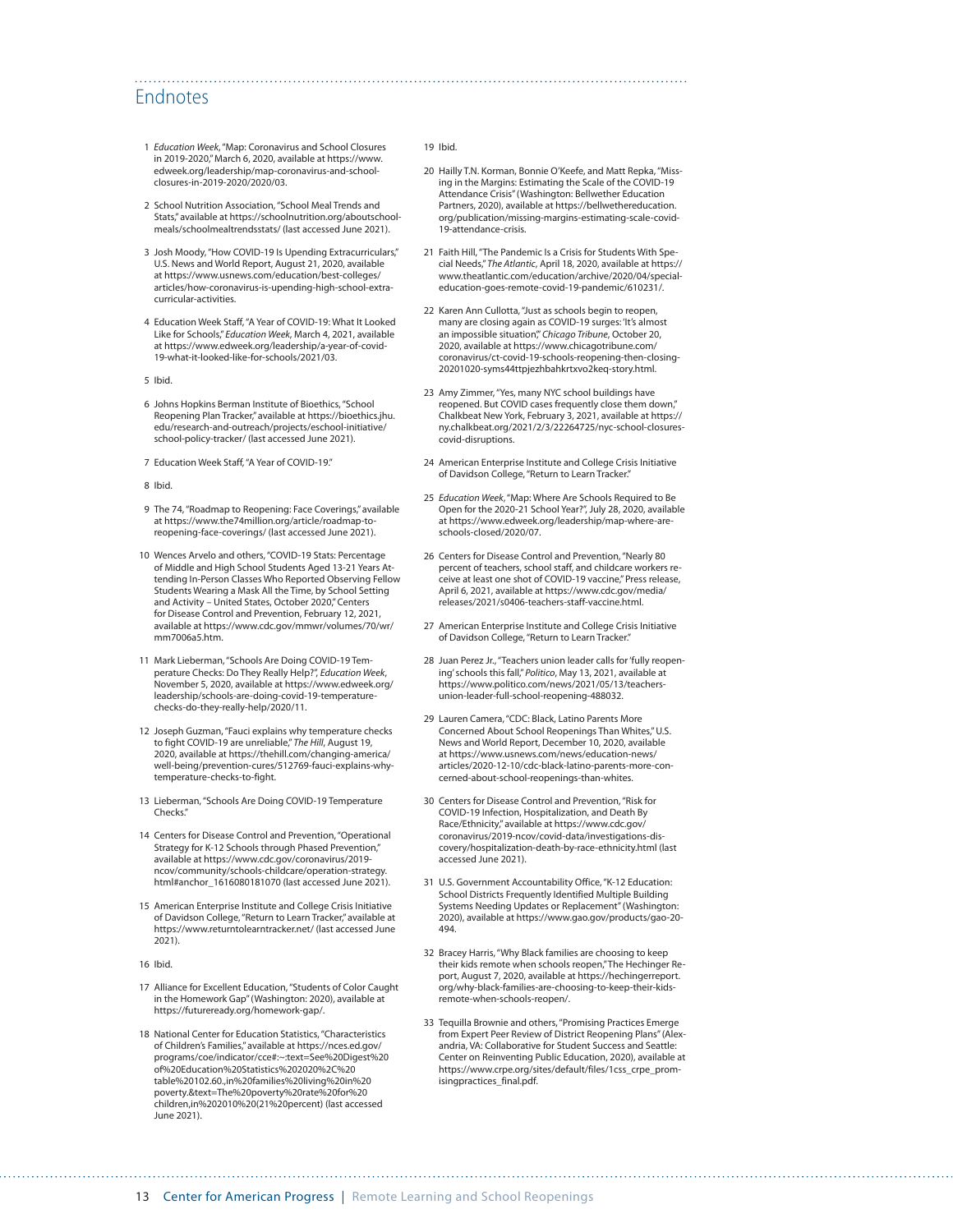#### Endnotes

- 1 *Education Week*, "Map: Coronavirus and School Closures in 2019-2020," March 6, 2020, available at [https://www.](https://www.edweek.org/leadership/map-coronavirus-and-school-closures-in-2019-2020/2020/03) [edweek.org/leadership/map-coronavirus-and-school](https://www.edweek.org/leadership/map-coronavirus-and-school-closures-in-2019-2020/2020/03)[closures-in-2019-2020/2020/03](https://www.edweek.org/leadership/map-coronavirus-and-school-closures-in-2019-2020/2020/03).
- 2 School Nutrition Association, "School Meal Trends and Stats," available at [https://schoolnutrition.org/aboutschool](https://schoolnutrition.org/aboutschoolmeals/schoolmealtrendsstats/)[meals/schoolmealtrendsstats/](https://schoolnutrition.org/aboutschoolmeals/schoolmealtrendsstats/) (last accessed June 2021).
- 3 Josh Moody, "How COVID-19 Is Upending Extracurriculars," U.S. News and World Report, August 21, 2020, available at [https://www.usnews.com/education/best-colleges/](https://www.usnews.com/education/best-colleges/articles/how-coronavirus-is-upending-high-school-extracurricular-activities) [articles/how-coronavirus-is-upending-high-school-extra](https://www.usnews.com/education/best-colleges/articles/how-coronavirus-is-upending-high-school-extracurricular-activities)[curricular-activities](https://www.usnews.com/education/best-colleges/articles/how-coronavirus-is-upending-high-school-extracurricular-activities).
- 4 Education Week Staff, "A Year of COVID-19: What It Looked Like for Schools," *Education Week*, March 4, 2021, available at [https://www.edweek.org/leadership/a-year-of-covid-](https://www.edweek.org/leadership/a-year-of-covid-19-what-it-looked-like-for-schools/2021/03)[19-what-it-looked-like-for-schools/2021/03](https://www.edweek.org/leadership/a-year-of-covid-19-what-it-looked-like-for-schools/2021/03).
- 5 Ibid.
- 6 Johns Hopkins Berman Institute of Bioethics, "School Reopening Plan Tracker," available at [https://bioethics.jhu.](https://bioethics.jhu.edu/research-and-outreach/projects/eschool-initiative/school-policy-tracker/) [edu/research-and-outreach/projects/eschool-initiative/](https://bioethics.jhu.edu/research-and-outreach/projects/eschool-initiative/school-policy-tracker/) [school-policy-tracker/](https://bioethics.jhu.edu/research-and-outreach/projects/eschool-initiative/school-policy-tracker/) (last accessed June 2021).
- 7 Education Week Staff, "A Year of COVID-19."
- 8 Ibid.
- 9 The 74, "Roadmap to Reopening: Face Coverings," available at [https://www.the74million.org/article/roadmap-to](https://www.the74million.org/article/roadmap-to-reopening-face-coverings/)[reopening-face-coverings/](https://www.the74million.org/article/roadmap-to-reopening-face-coverings/) (last accessed June 2021).
- 10 Wences Arvelo and others, "COVID-19 Stats: Percentage of Middle and High School Students Aged 13-21 Years Attending In-Person Classes Who Reported Observing Fellow Students Wearing a Mask All the Time, by School Setting and Activity – United States, October 2020," Centers for Disease Control and Prevention, February 12, 2021, available at [https://www.cdc.gov/mmwr/volumes/70/wr/](https://www.cdc.gov/mmwr/volumes/70/wr/mm7006a5.htm) [mm7006a5.htm](https://www.cdc.gov/mmwr/volumes/70/wr/mm7006a5.htm).
- 11 Mark Lieberman, "Schools Are Doing COVID-19 Temperature Checks: Do They Really Help?", *Education Week*, November 5, 2020, available at [https://www.edweek.org/](https://www.edweek.org/leadership/schools-are-doing-covid-19-temperature-checks-do-they-really-help/2020/11) [leadership/schools-are-doing-covid-19-temperature](https://www.edweek.org/leadership/schools-are-doing-covid-19-temperature-checks-do-they-really-help/2020/11)[checks-do-they-really-help/2020/11.](https://www.edweek.org/leadership/schools-are-doing-covid-19-temperature-checks-do-they-really-help/2020/11)
- 12 Joseph Guzman, "Fauci explains why temperature checks to fight COVID-19 are unreliable," *The Hill*, August 19, 2020, available at [https://thehill.com/changing-america/](https://thehill.com/changing-america/well-being/prevention-cures/512769-fauci-explains-why-temperature-checks-to-fight) [well-being/prevention-cures/512769-fauci-explains-why](https://thehill.com/changing-america/well-being/prevention-cures/512769-fauci-explains-why-temperature-checks-to-fight)[temperature-checks-to-fight](https://thehill.com/changing-america/well-being/prevention-cures/512769-fauci-explains-why-temperature-checks-to-fight).
- 13 Lieberman, "Schools Are Doing COVID-19 Temperature Checks."
- 14 Centers for Disease Control and Prevention, "Operational Strategy for K-12 Schools through Phased Prevention," available at https://www.cdc.gov/coronavirus/2019 ncov/community/schools-childcare/operation-strategy. html#anchor\_1616080181070 (last accessed June 2021).
- 15 American Enterprise Institute and College Crisis Initiative of Davidson College, "Return to Learn Tracker," available at <https://www.returntolearntracker.net/>(last accessed June 2021).
- 16 Ibid.
- 17 Alliance for Excellent Education, "Students of Color Caught in the Homework Gap" (Washington: 2020), available at <https://futureready.org/homework-gap/>.
- 18 National Center for Education Statistics, "Characteristics of Children's Families," available at https://nces.ed.gov/ programs/coe/indicator/cce#:~:text=See%20Digest%20 of%20Education%20Statistics%202020%2C%20 table%20102.60.,in%20families%20living%20in%20 poverty.&text=The%20poverty%20rate%20for%20 children,in%202010%20(21%20percent) (last accessed June 2021).

#### 19 Ibid.

- 20 Hailly T.N. Korman, Bonnie O'Keefe, and Matt Repka, "Missing in the Margins: Estimating the Scale of the COVID-19 Attendance Crisis" (Washington: Bellwether Education Partners, 2020), available at [https://bellwethereducation.](https://bellwethereducation.org/publication/missing-margins-estimating-scale-covid-19-attendance-crisis) [org/publication/missing-margins-estimating-scale-covid-](https://bellwethereducation.org/publication/missing-margins-estimating-scale-covid-19-attendance-crisis)[19-attendance-crisis.](https://bellwethereducation.org/publication/missing-margins-estimating-scale-covid-19-attendance-crisis)
- 21 Faith Hill, "The Pandemic Is a Crisis for Students With Special Needs," *The Atlantic*, April 18, 2020, available at [https://](https://www.theatlantic.com/education/archive/2020/04/special-education-goes-remote-covid-19-pandemic/610231/) [www.theatlantic.com/education/archive/2020/04/special](https://www.theatlantic.com/education/archive/2020/04/special-education-goes-remote-covid-19-pandemic/610231/)[education-goes-remote-covid-19-pandemic/610231/.](https://www.theatlantic.com/education/archive/2020/04/special-education-goes-remote-covid-19-pandemic/610231/)
- 22 Karen Ann Cullotta, "Just as schools begin to reopen, many are closing again as COVID-19 surges: 'It's almost an impossible situation'," *Chicago Tribune*, October 20, 2020, available at [https://www.chicagotribune.com/](https://www.chicagotribune.com/coronavirus/ct-covid-19-schools-reopening-then-closing-20201020-syms44ttpjezhbahkrtxvo2keq-story.html) [coronavirus/ct-covid-19-schools-reopening-then-closing-](https://www.chicagotribune.com/coronavirus/ct-covid-19-schools-reopening-then-closing-20201020-syms44ttpjezhbahkrtxvo2keq-story.html)[20201020-syms44ttpjezhbahkrtxvo2keq-story.html.](https://www.chicagotribune.com/coronavirus/ct-covid-19-schools-reopening-then-closing-20201020-syms44ttpjezhbahkrtxvo2keq-story.html)
- 23 Amy Zimmer, "Yes, many NYC school buildings have reopened. But COVID cases frequently close them down," Chalkbeat New York, February 3, 2021, available at [https://](https://ny.chalkbeat.org/2021/2/3/22264725/nyc-school-closures-covid-disruptions) [ny.chalkbeat.org/2021/2/3/22264725/nyc-school-closures](https://ny.chalkbeat.org/2021/2/3/22264725/nyc-school-closures-covid-disruptions)[covid-disruptions](https://ny.chalkbeat.org/2021/2/3/22264725/nyc-school-closures-covid-disruptions).
- 24 American Enterprise Institute and College Crisis Initiative of Davidson College, "Return to Learn Tracker."
- 25 *Education Week*, "Map: Where Are Schools Required to Be Open for the 2020-21 School Year?", July 28, 2020, available at [https://www.edweek.org/leadership/map-where-are](https://www.edweek.org/leadership/map-where-are-schools-closed/2020/07)[schools-closed/2020/07](https://www.edweek.org/leadership/map-where-are-schools-closed/2020/07).
- 26 Centers for Disease Control and Prevention, "Nearly 80 percent of teachers, school staff, and childcare workers receive at least one shot of COVID-19 vaccine," Press release, April 6, 2021, available at [https://www.cdc.gov/media/](https://www.cdc.gov/media/releases/2021/s0406-teachers-staff-vaccine.html) [releases/2021/s0406-teachers-staff-vaccine.html](https://www.cdc.gov/media/releases/2021/s0406-teachers-staff-vaccine.html).
- 27 American Enterprise Institute and College Crisis Initiative of Davidson College, "Return to Learn Tracker.
- 28 Juan Perez Jr., "Teachers union leader calls for 'fully reopening' schools this fall," *Politico*, May 13, 2021, available at [https://www.politico.com/news/2021/05/13/teachers](https://www.politico.com/news/2021/05/13/teachers-union-leader-full-school-reopening-488032)[union-leader-full-school-reopening-488032](https://www.politico.com/news/2021/05/13/teachers-union-leader-full-school-reopening-488032).
- 29 Lauren Camera, "CDC: Black, Latino Parents More Concerned About School Reopenings Than Whites," U.S. News and World Report, December 10, 2020, available at [https://www.usnews.com/news/education-news/](https://www.usnews.com/news/education-news/articles/2020-12-10/cdc-black-latino-parents-more-concerned-about-school-reopenings-than-whites) [articles/2020-12-10/cdc-black-latino-parents-more-con](https://www.usnews.com/news/education-news/articles/2020-12-10/cdc-black-latino-parents-more-concerned-about-school-reopenings-than-whites)[cerned-about-school-reopenings-than-whites.](https://www.usnews.com/news/education-news/articles/2020-12-10/cdc-black-latino-parents-more-concerned-about-school-reopenings-than-whites)
- 30 Centers for Disease Control and Prevention, "Risk for COVID-19 Infection, Hospitalization, and Death By Race/Ethnicity," available at [https://www.cdc.gov/](https://www.cdc.gov/coronavirus/2019-ncov/covid-data/investigations-discovery/hospitalization-death-by-race-ethnicity.html) [coronavirus/2019-ncov/covid-data/investigations-dis](https://www.cdc.gov/coronavirus/2019-ncov/covid-data/investigations-discovery/hospitalization-death-by-race-ethnicity.html)[covery/hospitalization-death-by-race-ethnicity.html](https://www.cdc.gov/coronavirus/2019-ncov/covid-data/investigations-discovery/hospitalization-death-by-race-ethnicity.html) (last accessed June 2021).
- 31 U.S. Government Accountability Office, "K-12 Education: School Districts Frequently Identified Multiple Building Systems Needing Updates or Replacement" (Washington: 2020), available at [https://www.gao.gov/products/gao-20-](https://www.gao.gov/products/gao-20-494) [494](https://www.gao.gov/products/gao-20-494).
- 32 Bracey Harris, "Why Black families are choosing to keep their kids remote when schools reopen," The Hechinger Report, August 7, 2020, available at [https://hechingerreport.](https://hechingerreport.org/why-black-families-are-choosing-to-keep-their-kids-remote-when-schools-reopen/) [org/why-black-families-are-choosing-to-keep-their-kids](https://hechingerreport.org/why-black-families-are-choosing-to-keep-their-kids-remote-when-schools-reopen/)[remote-when-schools-reopen/](https://hechingerreport.org/why-black-families-are-choosing-to-keep-their-kids-remote-when-schools-reopen/).
- 33 Tequilla Brownie and others, "Promising Practices Emerge from Expert Peer Review of District Reopening Plans" (Alexandria, VA: Collaborative for Student Success and Seattle: Center on Reinventing Public Education, 2020), available at [https://www.crpe.org/sites/default/files/1css\\_crpe\\_prom](https://www.crpe.org/sites/default/files/1css_crpe_promisingpractices_final.pdf)[isingpractices\\_final.pdf](https://www.crpe.org/sites/default/files/1css_crpe_promisingpractices_final.pdf).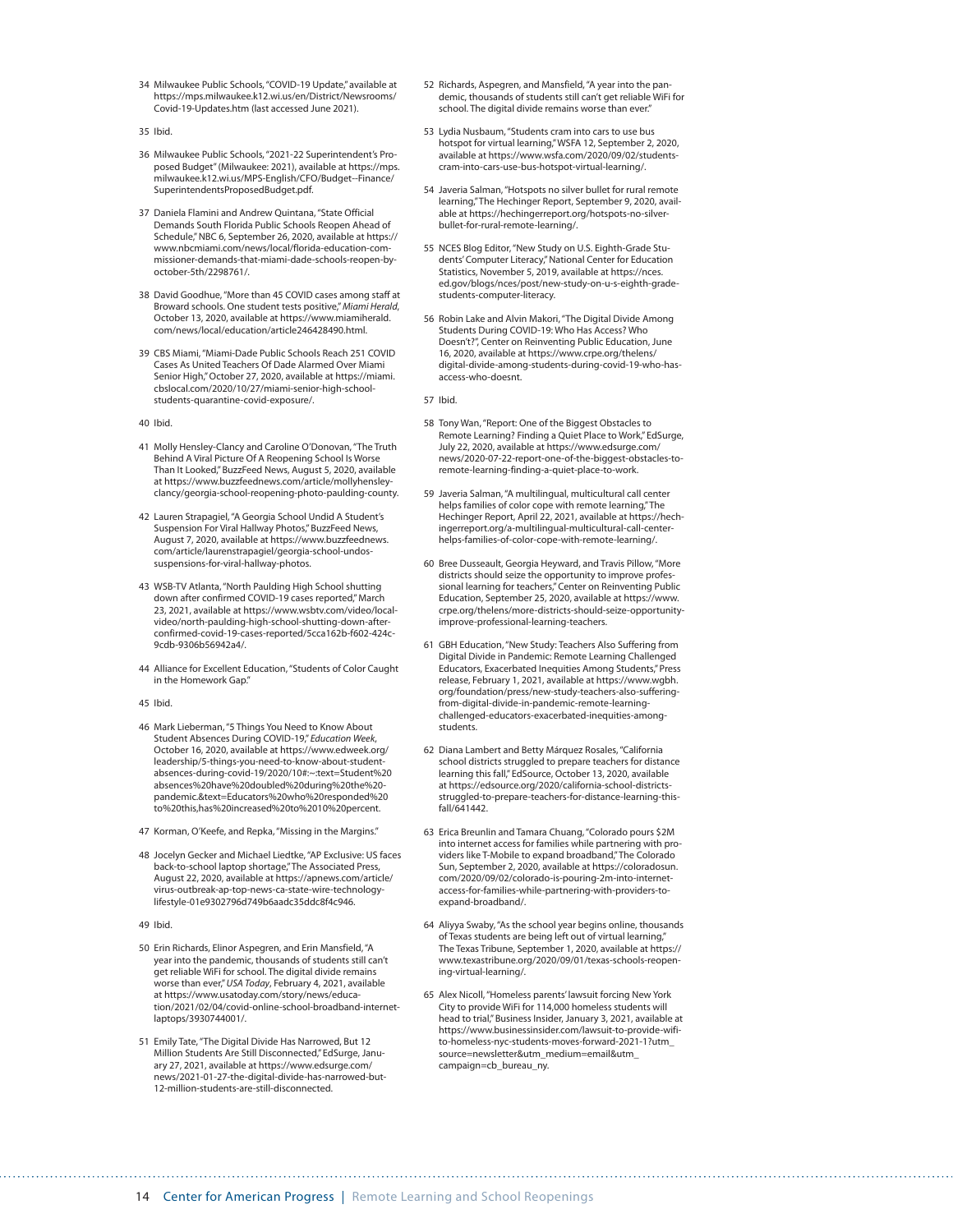- 34 Milwaukee Public Schools, "COVID-19 Update," available at [https://mps.milwaukee.k12.wi.us/en/District/Newsrooms/](https://mps.milwaukee.k12.wi.us/en/District/Newsrooms/Covid-19-Updates.htm) [Covid-19-Updates.htm](https://mps.milwaukee.k12.wi.us/en/District/Newsrooms/Covid-19-Updates.htm) (last accessed June 2021).
- 35 Ibid.
- 36 Milwaukee Public Schools, "2021-22 Superintendent's Proposed Budget" (Milwaukee: 2021), available at [https://mps.](https://mps.milwaukee.k12.wi.us/MPS-English/CFO/Budget--Finance/SuperintendentsProposedBudget.pdf) [milwaukee.k12.wi.us/MPS-English/CFO/Budget--Finance/](https://mps.milwaukee.k12.wi.us/MPS-English/CFO/Budget--Finance/SuperintendentsProposedBudget.pdf) [SuperintendentsProposedBudget.pdf](https://mps.milwaukee.k12.wi.us/MPS-English/CFO/Budget--Finance/SuperintendentsProposedBudget.pdf).
- 37 Daniela Flamini and Andrew Quintana, "State Official Demands South Florida Public Schools Reopen Ahead of Schedule," NBC 6, September 26, 2020, available at [https://](https://www.nbcmiami.com/news/local/florida-education-commissioner-demands-that-miami-dade-schools-reopen-by-october-5th/2298761/) [www.nbcmiami.com/news/local/florida-education-com](https://www.nbcmiami.com/news/local/florida-education-commissioner-demands-that-miami-dade-schools-reopen-by-october-5th/2298761/)[missioner-demands-that-miami-dade-schools-reopen-by](https://www.nbcmiami.com/news/local/florida-education-commissioner-demands-that-miami-dade-schools-reopen-by-october-5th/2298761/)[october-5th/2298761/](https://www.nbcmiami.com/news/local/florida-education-commissioner-demands-that-miami-dade-schools-reopen-by-october-5th/2298761/).
- 38 David Goodhue, "More than 45 COVID cases among staff at Broward schools. One student tests positive," *Miami Herald*, October 13, 2020, available at [https://www.miamiherald.](https://www.miamiherald.com/news/local/education/article246428490.html) [com/news/local/education/article246428490.html.](https://www.miamiherald.com/news/local/education/article246428490.html)
- 39 CBS Miami, "Miami-Dade Public Schools Reach 251 COVID Cases As United Teachers Of Dade Alarmed Over Miami Senior High," October 27, 2020, available at [https://miami.](https://miami.cbslocal.com/2020/10/27/miami-senior-high-school-students-quarantine-covid-exposure/) [cbslocal.com/2020/10/27/miami-senior-high-school](https://miami.cbslocal.com/2020/10/27/miami-senior-high-school-students-quarantine-covid-exposure/)[students-quarantine-covid-exposure/.](https://miami.cbslocal.com/2020/10/27/miami-senior-high-school-students-quarantine-covid-exposure/)
- 40 Ibid.
- 41 Molly Hensley-Clancy and Caroline O'Donovan, "The Truth Behind A Viral Picture Of A Reopening School Is Worse Than It Looked," BuzzFeed News, August 5, 2020, available at [https://www.buzzfeednews.com/article/mollyhensley](https://www.buzzfeednews.com/article/mollyhensleyclancy/georgia-school-reopening-photo-paulding-county)[clancy/georgia-school-reopening-photo-paulding-county](https://www.buzzfeednews.com/article/mollyhensleyclancy/georgia-school-reopening-photo-paulding-county).
- 42 Lauren Strapagiel, "A Georgia School Undid A Student's Suspension For Viral Hallway Photos," BuzzFeed News, August 7, 2020, available at [https://www.buzzfeednews.](https://www.buzzfeednews.com/article/laurenstrapagiel/georgia-school-undos-suspensions-for-viral-hallway-photos) [com/article/laurenstrapagiel/georgia-school-undos](https://www.buzzfeednews.com/article/laurenstrapagiel/georgia-school-undos-suspensions-for-viral-hallway-photos)[suspensions-for-viral-hallway-photos.](https://www.buzzfeednews.com/article/laurenstrapagiel/georgia-school-undos-suspensions-for-viral-hallway-photos)
- 43 WSB-TV Atlanta, "North Paulding High School shutting down after confirmed COVID-19 cases reported," March 23, 2021, available at [https://www.wsbtv.com/video/local](https://www.wsbtv.com/video/local-video/north-paulding-high-school-shutting-down-after-confirmed-covid-19-cases-reported/5cca162b-f602-424c-9cdb-9306b56942a4/)[video/north-paulding-high-school-shutting-down-after](https://www.wsbtv.com/video/local-video/north-paulding-high-school-shutting-down-after-confirmed-covid-19-cases-reported/5cca162b-f602-424c-9cdb-9306b56942a4/)[confirmed-covid-19-cases-reported/5cca162b-f602-424c-](https://www.wsbtv.com/video/local-video/north-paulding-high-school-shutting-down-after-confirmed-covid-19-cases-reported/5cca162b-f602-424c-9cdb-9306b56942a4/)[9cdb-9306b56942a4/](https://www.wsbtv.com/video/local-video/north-paulding-high-school-shutting-down-after-confirmed-covid-19-cases-reported/5cca162b-f602-424c-9cdb-9306b56942a4/).
- 44 Alliance for Excellent Education, "Students of Color Caught in the Homework Gap."
- 45 Ibid.
- 46 Mark Lieberman, "5 Things You Need to Know About Student Absences During COVID-19," *Education Week*, October 16, 2020, available at https://www.edweek.org/ leadership/5-things-you-need-to-know-about-studentabsences-during-covid-19/2020/10#:~:text=Student%20 absences%20have%20doubled%20during%20the%20 pandemic.&text=Educators%20who%20responded%20 to%20this,has%20increased%20to%2010%20percent.
- 47 Korman, O'Keefe, and Repka, "Missing in the Margins."
- 48 Jocelyn Gecker and Michael Liedtke, "AP Exclusive: US faces back-to-school laptop shortage," The Associated Press, August 22, 2020, available at [https://apnews.com/article/](https://apnews.com/article/virus-outbreak-ap-top-news-ca-state-wire-technology-lifestyle-01e9302796d749b6aadc35ddc8f4c946) [virus-outbreak-ap-top-news-ca-state-wire-technology](https://apnews.com/article/virus-outbreak-ap-top-news-ca-state-wire-technology-lifestyle-01e9302796d749b6aadc35ddc8f4c946)[lifestyle-01e9302796d749b6aadc35ddc8f4c946](https://apnews.com/article/virus-outbreak-ap-top-news-ca-state-wire-technology-lifestyle-01e9302796d749b6aadc35ddc8f4c946).

49 Ibid.

- 50 Erin Richards, Elinor Aspegren, and Erin Mansfield, "A year into the pandemic, thousands of students still can't get reliable WiFi for school. The digital divide remains worse than ever," *USA Today*, February 4, 2021, available at [https://www.usatoday.com/story/news/educa](https://www.usatoday.com/story/news/education/2021/02/04/covid-online-school-broadband-internet-laptops/3930744001/)[tion/2021/02/04/covid-online-school-broadband-internet](https://www.usatoday.com/story/news/education/2021/02/04/covid-online-school-broadband-internet-laptops/3930744001/)[laptops/3930744001/](https://www.usatoday.com/story/news/education/2021/02/04/covid-online-school-broadband-internet-laptops/3930744001/).
- 51 Emily Tate, "The Digital Divide Has Narrowed, But 12 Million Students Are Still Disconnected," EdSurge, January 27, 2021, available at [https://www.edsurge.com/](https://www.edsurge.com/news/2021-01-27-the-digital-divide-has-narrowed-but-12-million-students-are-still-disconnected) [news/2021-01-27-the-digital-divide-has-narrowed-but-](https://www.edsurge.com/news/2021-01-27-the-digital-divide-has-narrowed-but-12-million-students-are-still-disconnected)[12-million-students-are-still-disconnected.](https://www.edsurge.com/news/2021-01-27-the-digital-divide-has-narrowed-but-12-million-students-are-still-disconnected)
- 52 Richards, Aspegren, and Mansfield, "A year into the pandemic, thousands of students still can't get reliable WiFi for school. The digital divide remains worse than ever.
- 53 Lydia Nusbaum, "Students cram into cars to use bus hotspot for virtual learning," WSFA 12, September 2, 2020, available at [https://www.wsfa.com/2020/09/02/students](https://www.wsfa.com/2020/09/02/students-cram-into-cars-use-bus-hotspot-virtual-learning/)[cram-into-cars-use-bus-hotspot-virtual-learning/.](https://www.wsfa.com/2020/09/02/students-cram-into-cars-use-bus-hotspot-virtual-learning/)
- 54 Javeria Salman, "Hotspots no silver bullet for rural remote learning," The Hechinger Report, September 9, 2020, available at [https://hechingerreport.org/hotspots-no-silver](https://hechingerreport.org/hotspots-no-silver-bullet-for-rural-remote-learning/)[bullet-for-rural-remote-learning/](https://hechingerreport.org/hotspots-no-silver-bullet-for-rural-remote-learning/).
- 55 NCES Blog Editor, "New Study on U.S. Eighth-Grade Students' Computer Literacy," National Center for Education Statistics, November 5, 2019, available at [https://nces.](https://nces.ed.gov/blogs/nces/post/new-study-on-u-s-eighth-grade-students-computer-literacy) [ed.gov/blogs/nces/post/new-study-on-u-s-eighth-grade](https://nces.ed.gov/blogs/nces/post/new-study-on-u-s-eighth-grade-students-computer-literacy)[students-computer-literacy.](https://nces.ed.gov/blogs/nces/post/new-study-on-u-s-eighth-grade-students-computer-literacy)
- 56 Robin Lake and Alvin Makori, "The Digital Divide Among Students During COVID-19: Who Has Access? Who Doesn't?", Center on Reinventing Public Education, June 16, 2020, available at [https://www.crpe.org/thelens/](https://www.crpe.org/thelens/digital-divide-among-students-during-covid-19-who-has-access-who-doesnt) [digital-divide-among-students-during-covid-19-who-has](https://www.crpe.org/thelens/digital-divide-among-students-during-covid-19-who-has-access-who-doesnt)[access-who-doesnt](https://www.crpe.org/thelens/digital-divide-among-students-during-covid-19-who-has-access-who-doesnt).

57 Ibid.

- 58 Tony Wan, "Report: One of the Biggest Obstacles to Remote Learning? Finding a Quiet Place to Work," EdSurge, July 22, 2020, available at [https://www.edsurge.com/](https://www.edsurge.com/news/2020-07-22-report-one-of-the-biggest-obstacles-to-remote-learning-finding-a-quiet-place-to-work) [news/2020-07-22-report-one-of-the-biggest-obstacles-to](https://www.edsurge.com/news/2020-07-22-report-one-of-the-biggest-obstacles-to-remote-learning-finding-a-quiet-place-to-work)[remote-learning-finding-a-quiet-place-to-work](https://www.edsurge.com/news/2020-07-22-report-one-of-the-biggest-obstacles-to-remote-learning-finding-a-quiet-place-to-work).
- 59 Javeria Salman, "A multilingual, multicultural call center helps families of color cope with remote learning," The Hechinger Report, April 22, 2021, available at [https://hech](https://hechingerreport.org/a-multilingual-multicultural-call-center-helps-families-of-color-cope-with-remote-learning/)[ingerreport.org/a-multilingual-multicultural-call-center](https://hechingerreport.org/a-multilingual-multicultural-call-center-helps-families-of-color-cope-with-remote-learning/)[helps-families-of-color-cope-with-remote-learning/](https://hechingerreport.org/a-multilingual-multicultural-call-center-helps-families-of-color-cope-with-remote-learning/).
- 60 Bree Dusseault, Georgia Heyward, and Travis Pillow, "More districts should seize the opportunity to improve professional learning for teachers," Center on Reinventing Public Education, September 25, 2020, available at [https://www.](https://www.crpe.org/thelens/more-districts-should-seize-opportunity-improve-professional-learning-teachers) [crpe.org/thelens/more-districts-should-seize-opportunity](https://www.crpe.org/thelens/more-districts-should-seize-opportunity-improve-professional-learning-teachers)[improve-professional-learning-teachers.](https://www.crpe.org/thelens/more-districts-should-seize-opportunity-improve-professional-learning-teachers)
- 61 GBH Education, "New Study: Teachers Also Suffering from Digital Divide in Pandemic: Remote Learning Challenged Educators, Exacerbated Inequities Among Students," Press release, February 1, 2021, available at [https://www.wgbh.](https://www.wgbh.org/foundation/press/new-study-teachers-also-suffering-from-digital-divide-in-pandemic-remote-learning-challenged-educators-exacerbated-inequities-among-students) [org/foundation/press/new-study-teachers-also-suffering](https://www.wgbh.org/foundation/press/new-study-teachers-also-suffering-from-digital-divide-in-pandemic-remote-learning-challenged-educators-exacerbated-inequities-among-students)[from-digital-divide-in-pandemic-remote-learning](https://www.wgbh.org/foundation/press/new-study-teachers-also-suffering-from-digital-divide-in-pandemic-remote-learning-challenged-educators-exacerbated-inequities-among-students)[challenged-educators-exacerbated-inequities-among](https://www.wgbh.org/foundation/press/new-study-teachers-also-suffering-from-digital-divide-in-pandemic-remote-learning-challenged-educators-exacerbated-inequities-among-students)[students](https://www.wgbh.org/foundation/press/new-study-teachers-also-suffering-from-digital-divide-in-pandemic-remote-learning-challenged-educators-exacerbated-inequities-among-students).
- 62 Diana Lambert and Betty Márquez Rosales, "California school districts struggled to prepare teachers for distance learning this fall," EdSource, October 13, 2020, available at [https://edsource.org/2020/california-school-districts](https://edsource.org/2020/california-school-districts-struggled-to-prepare-teachers-for-distance-learning-this-fall/641442)[struggled-to-prepare-teachers-for-distance-learning-this](https://edsource.org/2020/california-school-districts-struggled-to-prepare-teachers-for-distance-learning-this-fall/641442)[fall/641442](https://edsource.org/2020/california-school-districts-struggled-to-prepare-teachers-for-distance-learning-this-fall/641442).
- 63 Erica Breunlin and Tamara Chuang, "Colorado pours \$2M into internet access for families while partnering with providers like T-Mobile to expand broadband," The Colorado Sun, September 2, 2020, available at [https://coloradosun.](https://coloradosun.com/2020/09/02/colorado-is-pouring-2m-into-internet-access-for-families-while-partnering-with-providers-to-expand-broadband/) [com/2020/09/02/colorado-is-pouring-2m-into-internet](https://coloradosun.com/2020/09/02/colorado-is-pouring-2m-into-internet-access-for-families-while-partnering-with-providers-to-expand-broadband/)[access-for-families-while-partnering-with-providers-to](https://coloradosun.com/2020/09/02/colorado-is-pouring-2m-into-internet-access-for-families-while-partnering-with-providers-to-expand-broadband/)[expand-broadband/.](https://coloradosun.com/2020/09/02/colorado-is-pouring-2m-into-internet-access-for-families-while-partnering-with-providers-to-expand-broadband/)
- 64 Aliyya Swaby, "As the school year begins online, thousands of Texas students are being left out of virtual learning," The Texas Tribune, September 1, 2020, available at [https://](https://www.texastribune.org/2020/09/01/texas-schools-reopening-virtual-learning/) [www.texastribune.org/2020/09/01/texas-schools-reopen](https://www.texastribune.org/2020/09/01/texas-schools-reopening-virtual-learning/)[ing-virtual-learning/.](https://www.texastribune.org/2020/09/01/texas-schools-reopening-virtual-learning/)
- 65 Alex Nicoll, "Homeless parents' lawsuit forcing New York City to provide WiFi for 114,000 homeless students will head to trial," Business Insider, January 3, 2021, available at [https://www.businessinsider.com/lawsuit-to-provide-wifi](https://www.businessinsider.com/lawsuit-to-provide-wifi-to-homeless-nyc-students-moves-forward-2021-1?utm_source=newsletter&utm_medium=email&utm_campaign=cb_bureau_ny)[to-homeless-nyc-students-moves-forward-2021-1?utm\\_](https://www.businessinsider.com/lawsuit-to-provide-wifi-to-homeless-nyc-students-moves-forward-2021-1?utm_source=newsletter&utm_medium=email&utm_campaign=cb_bureau_ny) [source=newsletter&utm\\_medium=email&utm\\_](https://www.businessinsider.com/lawsuit-to-provide-wifi-to-homeless-nyc-students-moves-forward-2021-1?utm_source=newsletter&utm_medium=email&utm_campaign=cb_bureau_ny) [campaign=cb\\_bureau\\_ny.](https://www.businessinsider.com/lawsuit-to-provide-wifi-to-homeless-nyc-students-moves-forward-2021-1?utm_source=newsletter&utm_medium=email&utm_campaign=cb_bureau_ny)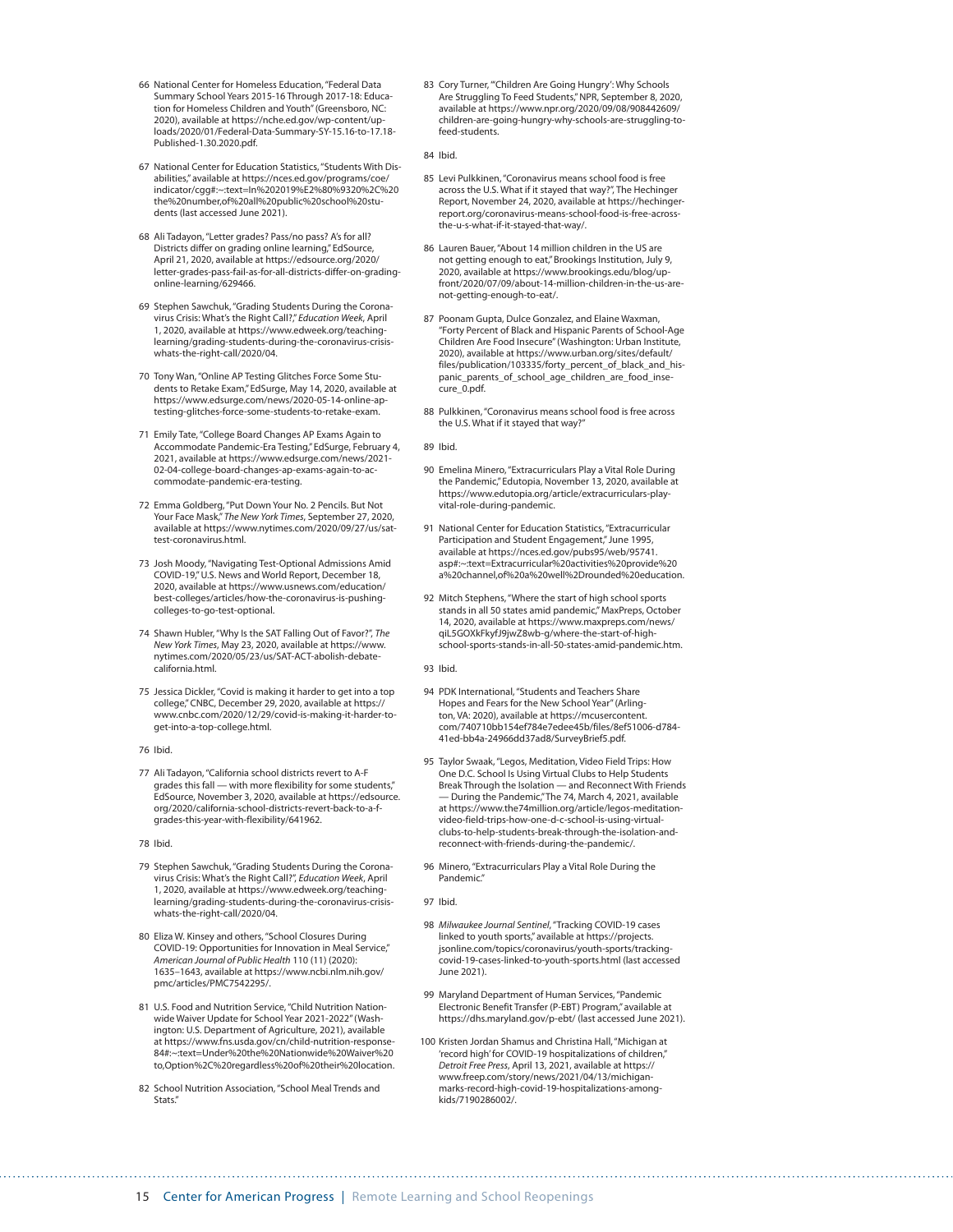- 66 National Center for Homeless Education, "Federal Data Summary School Years 2015-16 Through 2017-18: Education for Homeless Children and Youth" (Greensboro, NC: 2020), available at [https://nche.ed.gov/wp-content/up](https://nche.ed.gov/wp-content/uploads/2020/01/Federal-Data-Summary-SY-15.16-to-17.18-Published-1.30.2020.pdf)[loads/2020/01/Federal-Data-Summary-SY-15.16-to-17.18-](https://nche.ed.gov/wp-content/uploads/2020/01/Federal-Data-Summary-SY-15.16-to-17.18-Published-1.30.2020.pdf) [Published-1.30.2020.pdf](https://nche.ed.gov/wp-content/uploads/2020/01/Federal-Data-Summary-SY-15.16-to-17.18-Published-1.30.2020.pdf).
- 67 National Center for Education Statistics, "Students With Disabilities," available at https://nces.ed.gov/programs/coe/ indicator/cgg#:~:text=In%202019%E2%80%9320%2C%20 the%20number,of%20all%20public%20school%20students (last accessed June 2021).
- 68 Ali Tadayon, "Letter grades? Pass/no pass? A's for all? Districts differ on grading online learning," EdSource, April 21, 2020, available at [https://edsource.org/2020/](https://edsource.org/2020/letter-grades-pass-fail-as-for-all-districts-differ-on-grading-online-learning/629466) [letter-grades-pass-fail-as-for-all-districts-differ-on-grading](https://edsource.org/2020/letter-grades-pass-fail-as-for-all-districts-differ-on-grading-online-learning/629466)[online-learning/629466.](https://edsource.org/2020/letter-grades-pass-fail-as-for-all-districts-differ-on-grading-online-learning/629466)
- 69 Stephen Sawchuk, "Grading Students During the Coronavirus Crisis: What's the Right Call?," *Education Week*, April 1, 2020, available at [https://www.edweek.org/teaching](https://www.edweek.org/teaching-learning/grading-students-during-the-coronavirus-crisis-whats-the-right-call/2020/04)[learning/grading-students-during-the-coronavirus-crisis](https://www.edweek.org/teaching-learning/grading-students-during-the-coronavirus-crisis-whats-the-right-call/2020/04)[whats-the-right-call/2020/04](https://www.edweek.org/teaching-learning/grading-students-during-the-coronavirus-crisis-whats-the-right-call/2020/04).
- 70 Tony Wan, "Online AP Testing Glitches Force Some Students to Retake Exam," EdSurge, May 14, 2020, available at [https://www.edsurge.com/news/2020-05-14-online-ap](https://www.edsurge.com/news/2020-05-14-online-ap-testing-glitches-force-some-students-to-retake-exam)[testing-glitches-force-some-students-to-retake-exam](https://www.edsurge.com/news/2020-05-14-online-ap-testing-glitches-force-some-students-to-retake-exam).
- 71 Emily Tate, "College Board Changes AP Exams Again to Accommodate Pandemic-Era Testing," EdSurge, February 4, 2021, available at [https://www.edsurge.com/news/2021-](https://www.edsurge.com/news/2021-02-04-college-board-changes-ap-exams-again-to-accommodate-pandemic-era-testing) [02-04-college-board-changes-ap-exams-again-to-ac](https://www.edsurge.com/news/2021-02-04-college-board-changes-ap-exams-again-to-accommodate-pandemic-era-testing)[commodate-pandemic-era-testing.](https://www.edsurge.com/news/2021-02-04-college-board-changes-ap-exams-again-to-accommodate-pandemic-era-testing)
- 72 Emma Goldberg, "Put Down Your No. 2 Pencils. But Not Your Face Mask," *The New York Times*, September 27, 2020, available at [https://www.nytimes.com/2020/09/27/us/sat](https://www.nytimes.com/2020/09/27/us/sat-test-coronavirus.html)[test-coronavirus.html.](https://www.nytimes.com/2020/09/27/us/sat-test-coronavirus.html)
- 73 Josh Moody, "Navigating Test-Optional Admissions Amid COVID-19," U.S. News and World Report, December 18, 2020, available at [https://www.usnews.com/education/](https://www.usnews.com/education/best-colleges/articles/how-the-coronavirus-is-pushing-colleges-to-go-test-optional) [best-colleges/articles/how-the-coronavirus-is-pushing](https://www.usnews.com/education/best-colleges/articles/how-the-coronavirus-is-pushing-colleges-to-go-test-optional)[colleges-to-go-test-optional](https://www.usnews.com/education/best-colleges/articles/how-the-coronavirus-is-pushing-colleges-to-go-test-optional).
- 74 Shawn Hubler, "Why Is the SAT Falling Out of Favor?", *The New York Times*, May 23, 2020, available at [https://www.](https://www.nytimes.com/2020/05/23/us/SAT-ACT-abolish-debate-california.html) [nytimes.com/2020/05/23/us/SAT-ACT-abolish-debate](https://www.nytimes.com/2020/05/23/us/SAT-ACT-abolish-debate-california.html)[california.html.](https://www.nytimes.com/2020/05/23/us/SAT-ACT-abolish-debate-california.html)
- 75 Jessica Dickler, "Covid is making it harder to get into a top college," CNBC, December 29, 2020, available at [https://](https://www.cnbc.com/2020/12/29/covid-is-making-it-harder-to-get-into-a-top-college.html) [www.cnbc.com/2020/12/29/covid-is-making-it-harder-to](https://www.cnbc.com/2020/12/29/covid-is-making-it-harder-to-get-into-a-top-college.html)[get-into-a-top-college.html](https://www.cnbc.com/2020/12/29/covid-is-making-it-harder-to-get-into-a-top-college.html).
- 76 Ibid.
- 77 Ali Tadayon, "California school districts revert to A-F grades this fall — with more flexibility for some students," EdSource, November 3, 2020, available at [https://edsource.](https://edsource.org/2020/california-school-districts-revert-back-to-a-f-grades-this-year-with-flexibility/641962) [org/2020/california-school-districts-revert-back-to-a-f](https://edsource.org/2020/california-school-districts-revert-back-to-a-f-grades-this-year-with-flexibility/641962)[grades-this-year-with-flexibility/641962.](https://edsource.org/2020/california-school-districts-revert-back-to-a-f-grades-this-year-with-flexibility/641962)

78 Ibid.

- 79 Stephen Sawchuk, "Grading Students During the Coronavirus Crisis: What's the Right Call?", *Education Week*, April 1, 2020, available at [https://www.edweek.org/teaching](https://www.edweek.org/teaching-learning/grading-students-during-the-coronavirus-crisis-whats-the-right-call/2020/04)[learning/grading-students-during-the-coronavirus-crisis](https://www.edweek.org/teaching-learning/grading-students-during-the-coronavirus-crisis-whats-the-right-call/2020/04)[whats-the-right-call/2020/04](https://www.edweek.org/teaching-learning/grading-students-during-the-coronavirus-crisis-whats-the-right-call/2020/04).
- 80 Eliza W. Kinsey and others, "School Closures During COVID-19: Opportunities for Innovation in Meal Service," *American Journal of Public Health* 110 (11) (2020): 1635–1643, available at [https://www.ncbi.nlm.nih.gov/](https://www.ncbi.nlm.nih.gov/pmc/articles/PMC7542295/) [pmc/articles/PMC7542295/.](https://www.ncbi.nlm.nih.gov/pmc/articles/PMC7542295/)
- 81 U.S. Food and Nutrition Service, "Child Nutrition Nationwide Waiver Update for School Year 2021-2022" (Washington: U.S. Department of Agriculture, 2021), available at https://www.fns.usda.gov/cn/child-nutrition-response-84#:~:text=Under%20the%20Nationwide%20Waiver%20 to,Option%2C%20regardless%20of%20their%20location.
- 82 School Nutrition Association, "School Meal Trends and Stats."

83 Cory Turner, "'Children Are Going Hungry': Why Schools Are Struggling To Feed Students," NPR, September 8, 2020, available at [https://www.npr.org/2020/09/08/908442609/](https://www.npr.org/2020/09/08/908442609/children-are-going-hungry-why-schools-are-struggling-to-feed-students) [children-are-going-hungry-why-schools-are-struggling-to](https://www.npr.org/2020/09/08/908442609/children-are-going-hungry-why-schools-are-struggling-to-feed-students)[feed-students](https://www.npr.org/2020/09/08/908442609/children-are-going-hungry-why-schools-are-struggling-to-feed-students).

84 Ibid.

- 85 Levi Pulkkinen, "Coronavirus means school food is free across the U.S. What if it stayed that way?", The Hechinger Report, November 24, 2020, available at [https://hechinger](https://hechingerreport.org/coronavirus-means-school-food-is-free-across-the-u-s-what-if-it-stayed-that-way/)[report.org/coronavirus-means-school-food-is-free-across](https://hechingerreport.org/coronavirus-means-school-food-is-free-across-the-u-s-what-if-it-stayed-that-way/)[the-u-s-what-if-it-stayed-that-way/.](https://hechingerreport.org/coronavirus-means-school-food-is-free-across-the-u-s-what-if-it-stayed-that-way/)
- 86 Lauren Bauer, "About 14 million children in the US are not getting enough to eat," Brookings Institution, July 9, 2020, available at [https://www.brookings.edu/blog/up](https://www.brookings.edu/blog/up-front/2020/07/09/about-14-million-children-in-the-us-are-not-getting-enough-to-eat/)[front/2020/07/09/about-14-million-children-in-the-us-are](https://www.brookings.edu/blog/up-front/2020/07/09/about-14-million-children-in-the-us-are-not-getting-enough-to-eat/)[not-getting-enough-to-eat/](https://www.brookings.edu/blog/up-front/2020/07/09/about-14-million-children-in-the-us-are-not-getting-enough-to-eat/).
- 87 Poonam Gupta, Dulce Gonzalez, and Elaine Waxman, "Forty Percent of Black and Hispanic Parents of School-Age Children Are Food Insecure" (Washington: Urban Institute, 2020), available at [https://www.urban.org/sites/default/](https://www.urban.org/sites/default/files/publication/103335/forty_percent_of_black_and_hispanic_parents_of_school_age_children_are_food_insecure_0.pdf) [files/publication/103335/forty\\_percent\\_of\\_black\\_and\\_his](https://www.urban.org/sites/default/files/publication/103335/forty_percent_of_black_and_hispanic_parents_of_school_age_children_are_food_insecure_0.pdf)[panic\\_parents\\_of\\_school\\_age\\_children\\_are\\_food\\_inse](https://www.urban.org/sites/default/files/publication/103335/forty_percent_of_black_and_hispanic_parents_of_school_age_children_are_food_insecure_0.pdf)[cure\\_0.pdf.](https://www.urban.org/sites/default/files/publication/103335/forty_percent_of_black_and_hispanic_parents_of_school_age_children_are_food_insecure_0.pdf)
- 88 Pulkkinen, "Coronavirus means school food is free across the U.S. What if it stayed that way?"

89 Ibid.

- 90 Emelina Minero, "Extracurriculars Play a Vital Role During the Pandemic," Edutopia, November 13, 2020, available at [https://www.edutopia.org/article/extracurriculars-play](https://www.edutopia.org/article/extracurriculars-play-vital-role-during-pandemic)[vital-role-during-pandemic](https://www.edutopia.org/article/extracurriculars-play-vital-role-during-pandemic).
- 91 National Center for Education Statistics, "Extracurricular Participation and Student Engagement," June 1995, available at https://nces.ed.gov/pubs95/web/95741. asp#:~:text=Extracurricular%20activities%20provide%20 a%20channel,of%20a%20well%2Drounded%20education.
- 92 Mitch Stephens, "Where the start of high school sports stands in all 50 states amid pandemic," MaxPreps, October 14, 2020, available at [https://www.maxpreps.com/news/](https://www.maxpreps.com/news/qiL5GOXkFkyfJ9jwZ8wb-g/where-the-start-of-high-school-sports-stands-in-all-50-states-amid-pandemic.htm) [qiL5GOXkFkyfJ9jwZ8wb-g/where-the-start-of-high](https://www.maxpreps.com/news/qiL5GOXkFkyfJ9jwZ8wb-g/where-the-start-of-high-school-sports-stands-in-all-50-states-amid-pandemic.htm)[school-sports-stands-in-all-50-states-amid-pandemic.htm](https://www.maxpreps.com/news/qiL5GOXkFkyfJ9jwZ8wb-g/where-the-start-of-high-school-sports-stands-in-all-50-states-amid-pandemic.htm).

93 Ibid.

- 94 PDK International, "Students and Teachers Share Hopes and Fears for the New School Year" (Arlington, VA: 2020), available at [https://mcusercontent.](https://mcusercontent.com/740710bb154ef784e7edee45b/files/8ef51006-d784-41ed-bb4a-24966dd37ad8/SurveyBrief5.pdf) [com/740710bb154ef784e7edee45b/files/8ef51006-d784-](https://mcusercontent.com/740710bb154ef784e7edee45b/files/8ef51006-d784-41ed-bb4a-24966dd37ad8/SurveyBrief5.pdf) [41ed-bb4a-24966dd37ad8/SurveyBrief5.pdf](https://mcusercontent.com/740710bb154ef784e7edee45b/files/8ef51006-d784-41ed-bb4a-24966dd37ad8/SurveyBrief5.pdf).
- 95 Taylor Swaak, "Legos, Meditation, Video Field Trips: How One D.C. School Is Using Virtual Clubs to Help Students Break Through the Isolation — and Reconnect With Friends — During the Pandemic," The 74, March 4, 2021, available at [https://www.the74million.org/article/legos-meditation](https://www.the74million.org/article/legos-meditation-video-field-trips-how-one-d-c-school-is-using-virtual-clubs-to-help-students-break-through-the-isolation-and-reconnect-with-friends-during-the-pandemic/)[video-field-trips-how-one-d-c-school-is-using-virtual](https://www.the74million.org/article/legos-meditation-video-field-trips-how-one-d-c-school-is-using-virtual-clubs-to-help-students-break-through-the-isolation-and-reconnect-with-friends-during-the-pandemic/)[clubs-to-help-students-break-through-the-isolation-and](https://www.the74million.org/article/legos-meditation-video-field-trips-how-one-d-c-school-is-using-virtual-clubs-to-help-students-break-through-the-isolation-and-reconnect-with-friends-during-the-pandemic/)[reconnect-with-friends-during-the-pandemic/.](https://www.the74million.org/article/legos-meditation-video-field-trips-how-one-d-c-school-is-using-virtual-clubs-to-help-students-break-through-the-isolation-and-reconnect-with-friends-during-the-pandemic/)
- 96 Minero, "Extracurriculars Play a Vital Role During the Pandemic."

97 Ibid.

- 98 *Milwaukee Journal Sentinel*, "Tracking COVID-19 cases linked to youth sports," available at [https://projects.](https://projects.jsonline.com/topics/coronavirus/youth-sports/tracking-covid-19-cases-linked-to-youth-sports.html) [jsonline.com/topics/coronavirus/youth-sports/tracking](https://projects.jsonline.com/topics/coronavirus/youth-sports/tracking-covid-19-cases-linked-to-youth-sports.html)[covid-19-cases-linked-to-youth-sports.html](https://projects.jsonline.com/topics/coronavirus/youth-sports/tracking-covid-19-cases-linked-to-youth-sports.html) (last accessed June 2021).
- 99 Maryland Department of Human Services, "Pandemic Electronic Benefit Transfer (P-EBT) Program," available at <https://dhs.maryland.gov/p-ebt/>(last accessed June 2021).
- 100 Kristen Jordan Shamus and Christina Hall, "Michigan at 'record high' for COVID-19 hospitalizations of children," *Detroit Free Press*, April 13, 2021, available at [https://](https://www.freep.com/story/news/2021/04/13/michigan-marks-record-high-covid-19-hospitalizations-among-kids/7190286002/) [www.freep.com/story/news/2021/04/13/michigan](https://www.freep.com/story/news/2021/04/13/michigan-marks-record-high-covid-19-hospitalizations-among-kids/7190286002/)[marks-record-high-covid-19-hospitalizations-among](https://www.freep.com/story/news/2021/04/13/michigan-marks-record-high-covid-19-hospitalizations-among-kids/7190286002/)[kids/7190286002/.](https://www.freep.com/story/news/2021/04/13/michigan-marks-record-high-covid-19-hospitalizations-among-kids/7190286002/)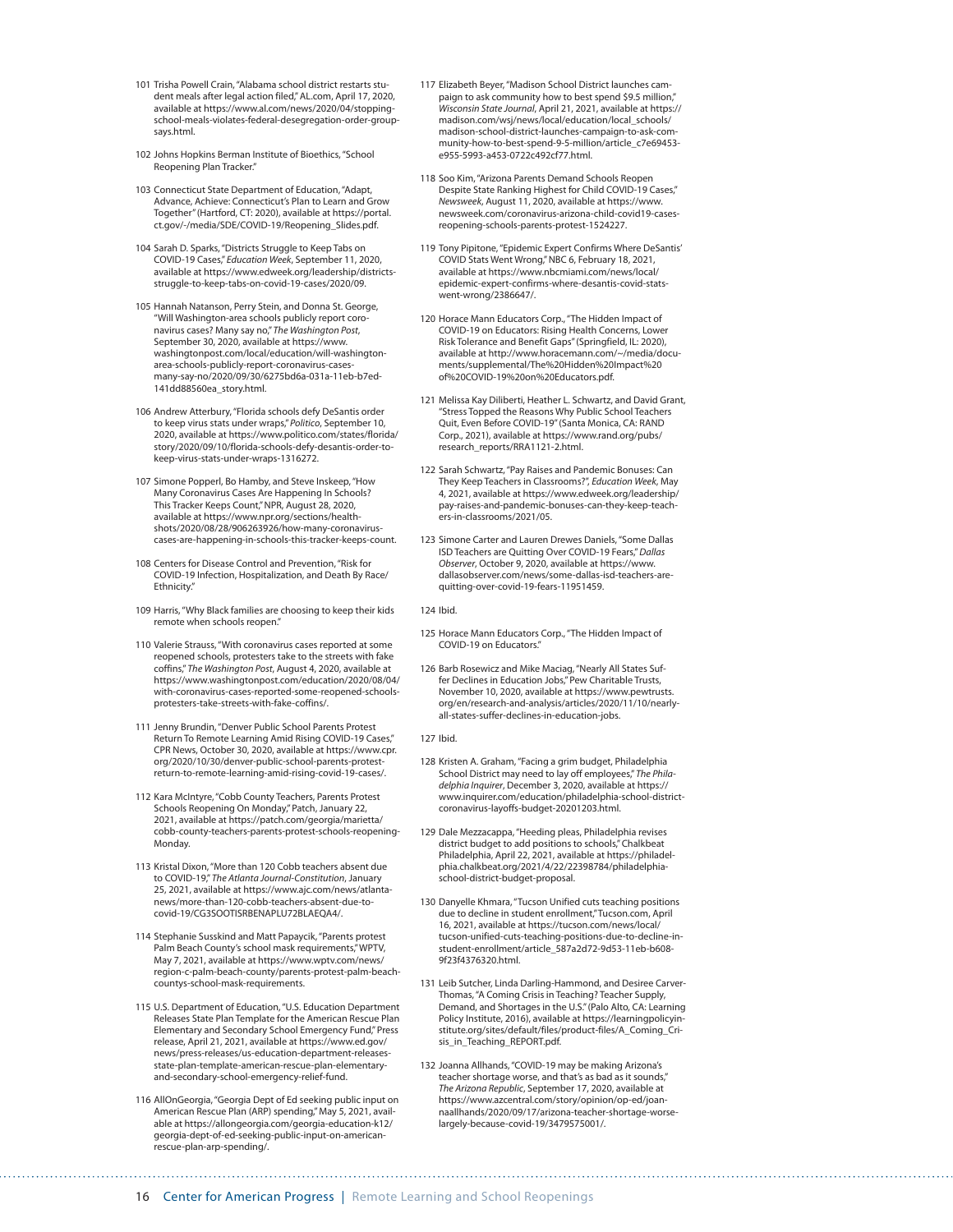- 101 Trisha Powell Crain, "Alabama school district restarts student meals after legal action filed," AL.com, April 17, 2020, available at [https://www.al.com/news/2020/04/stopping](https://www.al.com/news/2020/04/stopping-school-meals-violates-federal-desegregation-order-group-says.html)[school-meals-violates-federal-desegregation-order-group](https://www.al.com/news/2020/04/stopping-school-meals-violates-federal-desegregation-order-group-says.html)[says.html](https://www.al.com/news/2020/04/stopping-school-meals-violates-federal-desegregation-order-group-says.html).
- 102 Johns Hopkins Berman Institute of Bioethics, "School Reopening Plan Tracker."
- 103 Connecticut State Department of Education, "Adapt, Advance, Achieve: Connecticut's Plan to Learn and Grow Together" (Hartford, CT: 2020), available at [https://portal.](https://portal.ct.gov/-/media/SDE/COVID-19/Reopening_Slides.pdf) [ct.gov/-/media/SDE/COVID-19/Reopening\\_Slides.pdf](https://portal.ct.gov/-/media/SDE/COVID-19/Reopening_Slides.pdf).
- 104 Sarah D. Sparks, "Districts Struggle to Keep Tabs on COVID-19 Cases," *Education Week*, September 11, 2020, available at [https://www.edweek.org/leadership/districts](https://www.edweek.org/leadership/districts-struggle-to-keep-tabs-on-covid-19-cases/2020/09)[struggle-to-keep-tabs-on-covid-19-cases/2020/09](https://www.edweek.org/leadership/districts-struggle-to-keep-tabs-on-covid-19-cases/2020/09).
- 105 Hannah Natanson, Perry Stein, and Donna St. George, "Will Washington-area schools publicly report coro-<br>navirus cases? Many say no," *The Washington Post,*<br>September 30, 2020, available at [https://www.](https://www.washingtonpost.com/local/education/will-washington-area-schools-publicly-report-coronavirus-cases-many-say-no/2020/09/30/6275bd6a-031a-11eb-b7ed-141dd88560ea_story.html) [washingtonpost.com/local/education/will-washington](https://www.washingtonpost.com/local/education/will-washington-area-schools-publicly-report-coronavirus-cases-many-say-no/2020/09/30/6275bd6a-031a-11eb-b7ed-141dd88560ea_story.html)[area-schools-publicly-report-coronavirus-cases](https://www.washingtonpost.com/local/education/will-washington-area-schools-publicly-report-coronavirus-cases-many-say-no/2020/09/30/6275bd6a-031a-11eb-b7ed-141dd88560ea_story.html)[many-say-no/2020/09/30/6275bd6a-031a-11eb-b7ed-](https://www.washingtonpost.com/local/education/will-washington-area-schools-publicly-report-coronavirus-cases-many-say-no/2020/09/30/6275bd6a-031a-11eb-b7ed-141dd88560ea_story.html)[141dd88560ea\\_story.html.](https://www.washingtonpost.com/local/education/will-washington-area-schools-publicly-report-coronavirus-cases-many-say-no/2020/09/30/6275bd6a-031a-11eb-b7ed-141dd88560ea_story.html)
- 106 Andrew Atterbury, "Florida schools defy DeSantis order to keep virus stats under wraps," *Politico*, September 10, 2020, available at [https://www.politico.com/states/florida/](https://www.politico.com/states/florida/story/2020/09/10/florida-schools-defy-desantis-order-to-keep-virus-stats-under-wraps-1316272) [story/2020/09/10/florida-schools-defy-desantis-order-to](https://www.politico.com/states/florida/story/2020/09/10/florida-schools-defy-desantis-order-to-keep-virus-stats-under-wraps-1316272)[keep-virus-stats-under-wraps-1316272.](https://www.politico.com/states/florida/story/2020/09/10/florida-schools-defy-desantis-order-to-keep-virus-stats-under-wraps-1316272)
- 107 Simone Popperl, Bo Hamby, and Steve Inskeep, "How Many Coronavirus Cases Are Happening In Schools? This Tracker Keeps Count," NPR, August 28, 2020, available at [https://www.npr.org/sections/health](https://www.npr.org/sections/health-shots/2020/08/28/906263926/how-many-coronavirus-cases-are-happening-in-schools-this-tracker-keeps-count)[shots/2020/08/28/906263926/how-many-coronavirus](https://www.npr.org/sections/health-shots/2020/08/28/906263926/how-many-coronavirus-cases-are-happening-in-schools-this-tracker-keeps-count)[cases-are-happening-in-schools-this-tracker-keeps-count.](https://www.npr.org/sections/health-shots/2020/08/28/906263926/how-many-coronavirus-cases-are-happening-in-schools-this-tracker-keeps-count)
- 108 Centers for Disease Control and Prevention, "Risk for COVID-19 Infection, Hospitalization, and Death By Race/ Ethnicity."
- 109 Harris, "Why Black families are choosing to keep their kids remote when schools reopen."
- 110 Valerie Strauss, "With coronavirus cases reported at some reopened schools, protesters take to the streets with fake coffins," *The Washington Post*, August 4, 2020, available at [https://www.washingtonpost.com/education/2020/08/04/](https://www.washingtonpost.com/education/2020/08/04/with-coronavirus-cases-reported-some-reopened-schools-protesters-take-streets-with-fake-coffins/) [with-coronavirus-cases-reported-some-reopened-schools](https://www.washingtonpost.com/education/2020/08/04/with-coronavirus-cases-reported-some-reopened-schools-protesters-take-streets-with-fake-coffins/)[protesters-take-streets-with-fake-coffins/.](https://www.washingtonpost.com/education/2020/08/04/with-coronavirus-cases-reported-some-reopened-schools-protesters-take-streets-with-fake-coffins/)
- 111 Jenny Brundin, "Denver Public School Parents Protest Return To Remote Learning Amid Rising COVID-19 Cases," CPR News, October 30, 2020, available at [https://www.cpr.](https://www.cpr.org/2020/10/30/denver-public-school-parents-protest-return-to-remote-learning-amid-rising-covid-19-cases/) [org/2020/10/30/denver-public-school-parents-protest](https://www.cpr.org/2020/10/30/denver-public-school-parents-protest-return-to-remote-learning-amid-rising-covid-19-cases/)[return-to-remote-learning-amid-rising-covid-19-cases/.](https://www.cpr.org/2020/10/30/denver-public-school-parents-protest-return-to-remote-learning-amid-rising-covid-19-cases/)
- 112 Kara McIntyre, "Cobb County Teachers, Parents Protest Schools Reopening On Monday," Patch, January 22, 2021, available at [https://patch.com/georgia/marietta/](https://patch.com/georgia/marietta/cobb-county-teachers-parents-protest-schools-reopening-Monday) [cobb-county-teachers-parents-protest-schools-reopening-](https://patch.com/georgia/marietta/cobb-county-teachers-parents-protest-schools-reopening-Monday)[Monday.](https://patch.com/georgia/marietta/cobb-county-teachers-parents-protest-schools-reopening-Monday)
- 113 Kristal Dixon, "More than 120 Cobb teachers absent due to COVID-19," *The Atlanta Journal-Constitution*, January 25, 2021, available at [https://www.ajc.com/news/atlanta](https://www.ajc.com/news/atlanta-news/more-than-120-cobb-teachers-absent-due-to-covid-19/CG3SOOTISRBENAPLU72BLAEQA4/)[news/more-than-120-cobb-teachers-absent-due-to-](https://www.ajc.com/news/atlanta-news/more-than-120-cobb-teachers-absent-due-to-covid-19/CG3SOOTISRBENAPLU72BLAEQA4/)[covid-19/CG3SOOTISRBENAPLU72BLAEQA4/](https://www.ajc.com/news/atlanta-news/more-than-120-cobb-teachers-absent-due-to-covid-19/CG3SOOTISRBENAPLU72BLAEQA4/).
- 114 Stephanie Susskind and Matt Papaycik, "Parents protest Palm Beach County's school mask requirements," WPTV, May 7, 2021, available at [https://www.wptv.com/news/](https://www.wptv.com/news/region-c-palm-beach-county/parents-protest-palm-beach-countys-school-mask-requirements) [region-c-palm-beach-county/parents-protest-palm-beach](https://www.wptv.com/news/region-c-palm-beach-county/parents-protest-palm-beach-countys-school-mask-requirements)[countys-school-mask-requirements.](https://www.wptv.com/news/region-c-palm-beach-county/parents-protest-palm-beach-countys-school-mask-requirements)
- 115 U.S. Department of Education, "U.S. Education Department Releases State Plan Template for the American Rescue Plan Elementary and Secondary School Emergency Fund," Press release, April 21, 2021, available at [https://www.ed.gov/](https://www.ed.gov/news/press-releases/us-education-department-releases-state-plan-template-american-rescue-plan-elementary-and-secondary-school-emergency-relief-fund) [news/press-releases/us-education-department-releases](https://www.ed.gov/news/press-releases/us-education-department-releases-state-plan-template-american-rescue-plan-elementary-and-secondary-school-emergency-relief-fund)[state-plan-template-american-rescue-plan-elementary](https://www.ed.gov/news/press-releases/us-education-department-releases-state-plan-template-american-rescue-plan-elementary-and-secondary-school-emergency-relief-fund)[and-secondary-school-emergency-relief-fund](https://www.ed.gov/news/press-releases/us-education-department-releases-state-plan-template-american-rescue-plan-elementary-and-secondary-school-emergency-relief-fund).
- 116 AllOnGeorgia, "Georgia Dept of Ed seeking public input on American Rescue Plan (ARP) spending," May 5, 2021, available at [https://allongeorgia.com/georgia-education-k12/](https://allongeorgia.com/georgia-education-k12/georgia-dept-of-ed-seeking-public-input-on-american-rescue-plan-arp-spending/) [georgia-dept-of-ed-seeking-public-input-on-american](https://allongeorgia.com/georgia-education-k12/georgia-dept-of-ed-seeking-public-input-on-american-rescue-plan-arp-spending/)[rescue-plan-arp-spending/.](https://allongeorgia.com/georgia-education-k12/georgia-dept-of-ed-seeking-public-input-on-american-rescue-plan-arp-spending/)
- 117 Elizabeth Beyer, "Madison School District launches campaign to ask community how to best spend \$9.5 million," *Wisconsin State Journal*, April 21, 2021, available at [https://](https://madison.com/wsj/news/local/education/local_schools/madison-school-district-launches-campaign-to-ask-community-how-to-best-spend-9-5-million/article_c7e69453-e955-5993-a453-0722c492cf77.html) [madison.com/wsj/news/local/education/local\\_schools/](https://madison.com/wsj/news/local/education/local_schools/madison-school-district-launches-campaign-to-ask-community-how-to-best-spend-9-5-million/article_c7e69453-e955-5993-a453-0722c492cf77.html) [madison-school-district-launches-campaign-to-ask-com](https://madison.com/wsj/news/local/education/local_schools/madison-school-district-launches-campaign-to-ask-community-how-to-best-spend-9-5-million/article_c7e69453-e955-5993-a453-0722c492cf77.html)[munity-how-to-best-spend-9-5-million/article\\_c7e69453](https://madison.com/wsj/news/local/education/local_schools/madison-school-district-launches-campaign-to-ask-community-how-to-best-spend-9-5-million/article_c7e69453-e955-5993-a453-0722c492cf77.html) [e955-5993-a453-0722c492cf77.html](https://madison.com/wsj/news/local/education/local_schools/madison-school-district-launches-campaign-to-ask-community-how-to-best-spend-9-5-million/article_c7e69453-e955-5993-a453-0722c492cf77.html).
- 118 Soo Kim, "Arizona Parents Demand Schools Reopen Despite State Ranking Highest for Child COVID-19 Cases," *Newsweek*, August 11, 2020, available at [https://www.](https://www.newsweek.com/coronavirus-arizona-child-covid19-cases-reopening-schools-parents-protest-1524227) [newsweek.com/coronavirus-arizona-child-covid19-cases](https://www.newsweek.com/coronavirus-arizona-child-covid19-cases-reopening-schools-parents-protest-1524227)[reopening-schools-parents-protest-1524227.](https://www.newsweek.com/coronavirus-arizona-child-covid19-cases-reopening-schools-parents-protest-1524227)
- 119 Tony Pipitone, "Epidemic Expert Confirms Where DeSantis' COVID Stats Went Wrong," NBC 6, February 18, 2021, available at [https://www.nbcmiami.com/news/local/](https://www.nbcmiami.com/news/local/epidemic-expert-confirms-where-desantis-covid-stats-went-wrong/2386647/) [epidemic-expert-confirms-where-desantis-covid-stats](https://www.nbcmiami.com/news/local/epidemic-expert-confirms-where-desantis-covid-stats-went-wrong/2386647/)[went-wrong/2386647/](https://www.nbcmiami.com/news/local/epidemic-expert-confirms-where-desantis-covid-stats-went-wrong/2386647/).
- 120 Horace Mann Educators Corp., "The Hidden Impact of COVID-19 on Educators: Rising Health Concerns, Lower Risk Tolerance and Benefit Gaps" (Springfield, IL: 2020), available at [http://www.horacemann.com/~/media/docu](http://www.horacemann.com/~/media/documents/supplemental/The%20Hidden%20Impact%20of%20COVID-19%20on%20Educators.pdf)[ments/supplemental/The%20Hidden%20Impact%20](http://www.horacemann.com/~/media/documents/supplemental/The%20Hidden%20Impact%20of%20COVID-19%20on%20Educators.pdf) [of%20COVID-19%20on%20Educators.pdf.](http://www.horacemann.com/~/media/documents/supplemental/The%20Hidden%20Impact%20of%20COVID-19%20on%20Educators.pdf)
- 121 Melissa Kay Diliberti, Heather L. Schwartz, and David Grant, "Stress Topped the Reasons Why Public School Teachers Quit, Even Before COVID-19" (Santa Monica, CA: RAND Corp., 2021), available at [https://www.rand.org/pubs/](https://www.rand.org/pubs/research_reports/RRA1121-2.html) [research\\_reports/RRA1121-2.html.](https://www.rand.org/pubs/research_reports/RRA1121-2.html)
- 122 Sarah Schwartz, "Pay Raises and Pandemic Bonuses: Can They Keep Teachers in Classrooms?", *Education Week*, May 4, 2021, available at [https://www.edweek.org/leadership/](https://www.edweek.org/leadership/pay-raises-and-pandemic-bonuses-can-they-keep-teachers-in-classrooms/2021/05) [pay-raises-and-pandemic-bonuses-can-they-keep-teach](https://www.edweek.org/leadership/pay-raises-and-pandemic-bonuses-can-they-keep-teachers-in-classrooms/2021/05)[ers-in-classrooms/2021/05.](https://www.edweek.org/leadership/pay-raises-and-pandemic-bonuses-can-they-keep-teachers-in-classrooms/2021/05)
- 123 Simone Carter and Lauren Drewes Daniels, "Some Dallas ISD Teachers are Quitting Over COVID-19 Fears," *Dallas Observer*, October 9, 2020, available at [https://www.](https://www.dallasobserver.com/news/some-dallas-isd-teachers-are-quitting-over-covid-19-fears-11951459) [dallasobserver.com/news/some-dallas-isd-teachers-are](https://www.dallasobserver.com/news/some-dallas-isd-teachers-are-quitting-over-covid-19-fears-11951459)[quitting-over-covid-19-fears-11951459.](https://www.dallasobserver.com/news/some-dallas-isd-teachers-are-quitting-over-covid-19-fears-11951459)
- 124 Ibid.
- 125 Horace Mann Educators Corp., "The Hidden Impact of COVID-19 on Educators."
- 126 Barb Rosewicz and Mike Maciag, "Nearly All States Suffer Declines in Education Jobs," Pew Charitable Trusts, November 10, 2020, available at [https://www.pewtrusts.](https://www.pewtrusts.org/en/research-and-analysis/articles/2020/11/10/nearly-all-states-suffer-declines-in-education-jobs) [org/en/research-and-analysis/articles/2020/11/10/nearly](https://www.pewtrusts.org/en/research-and-analysis/articles/2020/11/10/nearly-all-states-suffer-declines-in-education-jobs)[all-states-suffer-declines-in-education-jobs.](https://www.pewtrusts.org/en/research-and-analysis/articles/2020/11/10/nearly-all-states-suffer-declines-in-education-jobs)
- 127 Ibid.
- 128 Kristen A. Graham, "Facing a grim budget, Philadelphia School District may need to lay off employees," *The Phila-delphia Inquirer*, December 3, 2020, available at [https://](https://www.inquirer.com/education/philadelphia-school-district-coronavirus-layoffs-budget-20201203.html) [www.inquirer.com/education/philadelphia-school-district](https://www.inquirer.com/education/philadelphia-school-district-coronavirus-layoffs-budget-20201203.html)[coronavirus-layoffs-budget-20201203.html.](https://www.inquirer.com/education/philadelphia-school-district-coronavirus-layoffs-budget-20201203.html)
- 129 Dale Mezzacappa, "Heeding pleas, Philadelphia revises district budget to add positions to schools," Chalkbeat Philadelphia, April 22, 2021, available at [https://philadel](https://philadelphia.chalkbeat.org/2021/4/22/22398784/philadelphia-school-district-budget-proposal)[phia.chalkbeat.org/2021/4/22/22398784/philadelphia](https://philadelphia.chalkbeat.org/2021/4/22/22398784/philadelphia-school-district-budget-proposal)[school-district-budget-proposal](https://philadelphia.chalkbeat.org/2021/4/22/22398784/philadelphia-school-district-budget-proposal).
- 130 Danyelle Khmara, "Tucson Unified cuts teaching positions due to decline in student enrollment," Tucson.com, April 16, 2021, available at [https://tucson.com/news/local/](https://tucson.com/news/local/tucson-unified-cuts-teaching-positions-due-to-decline-in-student-enrollment/article_587a2d72-9d53-11eb-b608-9f23f4376320.html) [tucson-unified-cuts-teaching-positions-due-to-decline-in](https://tucson.com/news/local/tucson-unified-cuts-teaching-positions-due-to-decline-in-student-enrollment/article_587a2d72-9d53-11eb-b608-9f23f4376320.html)[student-enrollment/article\\_587a2d72-9d53-11eb-b608-](https://tucson.com/news/local/tucson-unified-cuts-teaching-positions-due-to-decline-in-student-enrollment/article_587a2d72-9d53-11eb-b608-9f23f4376320.html) [9f23f4376320.html](https://tucson.com/news/local/tucson-unified-cuts-teaching-positions-due-to-decline-in-student-enrollment/article_587a2d72-9d53-11eb-b608-9f23f4376320.html).
- 131 Leib Sutcher, Linda Darling-Hammond, and Desiree Carver-Thomas, "A Coming Crisis in Teaching? Teacher Supply, Demand, and Shortages in the U.S." (Palo Alto, CA: Learning Policy Institute, 2016), available at [https://learningpolicyin](https://learningpolicyinstitute.org/sites/default/files/product-files/A_Coming_Crisis_in_Teaching_REPORT.pdf)[stitute.org/sites/default/files/product-files/A\\_Coming\\_Cri](https://learningpolicyinstitute.org/sites/default/files/product-files/A_Coming_Crisis_in_Teaching_REPORT.pdf)[sis\\_in\\_Teaching\\_REPORT.pdf](https://learningpolicyinstitute.org/sites/default/files/product-files/A_Coming_Crisis_in_Teaching_REPORT.pdf).
- 132 Joanna Allhands, "COVID-19 may be making Arizona's teacher shortage worse, and that's as bad as it sounds," *The Arizona Republic*, September 17, 2020, available at [https://www.azcentral.com/story/opinion/op-ed/joan](https://www.azcentral.com/story/opinion/op-ed/joannaallhands/2020/09/17/arizona-teacher-shortage-worse-largely-because-covid-19/3479575001/)[naallhands/2020/09/17/arizona-teacher-shortage-worse](https://www.azcentral.com/story/opinion/op-ed/joannaallhands/2020/09/17/arizona-teacher-shortage-worse-largely-because-covid-19/3479575001/)[largely-because-covid-19/3479575001/](https://www.azcentral.com/story/opinion/op-ed/joannaallhands/2020/09/17/arizona-teacher-shortage-worse-largely-because-covid-19/3479575001/).